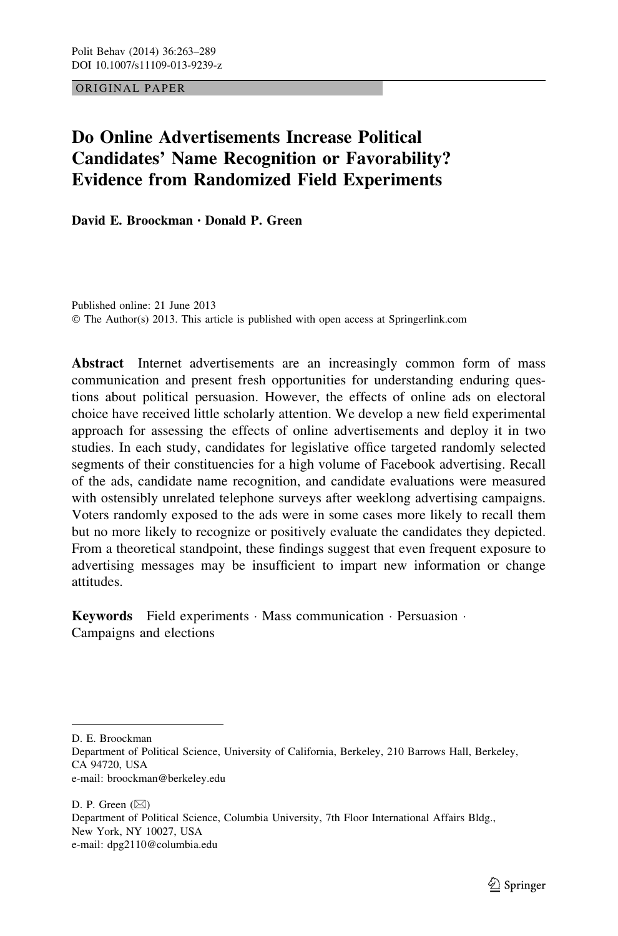ORIGINAL PAPER

# Do Online Advertisements Increase Political Candidates' Name Recognition or Favorability? Evidence from Randomized Field Experiments

David E. Broockman • Donald P. Green

Published online: 21 June 2013 © The Author(s) 2013. This article is published with open access at Springerlink.com

Abstract Internet advertisements are an increasingly common form of mass communication and present fresh opportunities for understanding enduring questions about political persuasion. However, the effects of online ads on electoral choice have received little scholarly attention. We develop a new field experimental approach for assessing the effects of online advertisements and deploy it in two studies. In each study, candidates for legislative office targeted randomly selected segments of their constituencies for a high volume of Facebook advertising. Recall of the ads, candidate name recognition, and candidate evaluations were measured with ostensibly unrelated telephone surveys after weeklong advertising campaigns. Voters randomly exposed to the ads were in some cases more likely to recall them but no more likely to recognize or positively evaluate the candidates they depicted. From a theoretical standpoint, these findings suggest that even frequent exposure to advertising messages may be insufficient to impart new information or change attitudes.

Keywords Field experiments · Mass communication · Persuasion · Campaigns and elections

D. E. Broockman

Department of Political Science, University of California, Berkeley, 210 Barrows Hall, Berkeley, CA 94720, USA e-mail: broockman@berkeley.edu

D. P. Green  $(\boxtimes)$ Department of Political Science, Columbia University, 7th Floor International Affairs Bldg., New York, NY 10027, USA e-mail: dpg2110@columbia.edu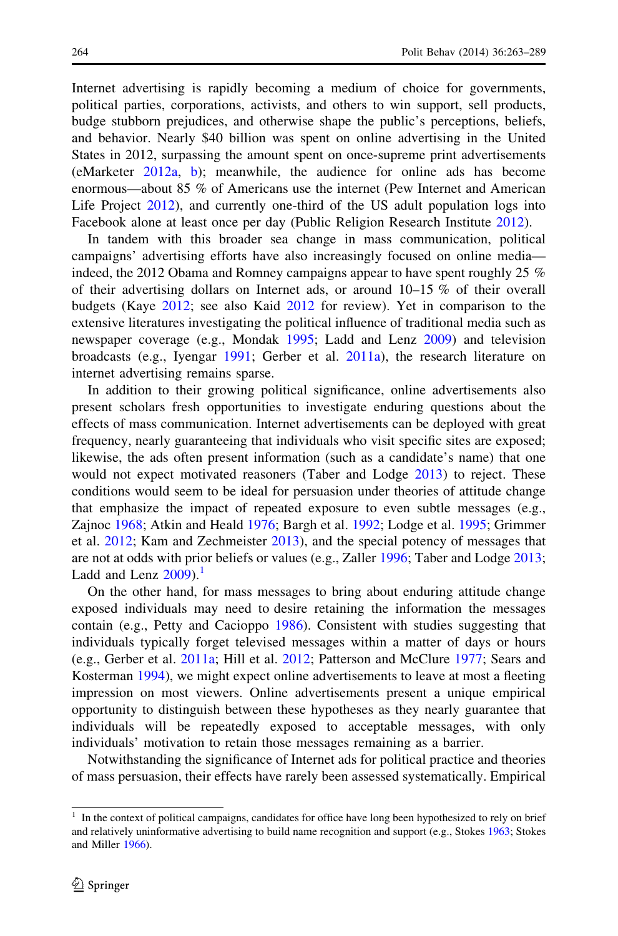Internet advertising is rapidly becoming a medium of choice for governments, political parties, corporations, activists, and others to win support, sell products, budge stubborn prejudices, and otherwise shape the public's perceptions, beliefs, and behavior. Nearly \$40 billion was spent on online advertising in the United States in 2012, surpassing the amount spent on once-supreme print advertisements (eMarketer [2012a,](#page-24-0) [b\)](#page-24-0); meanwhile, the audience for online ads has become enormous—about 85 % of Americans use the internet (Pew Internet and American Life Project [2012\)](#page-25-0), and currently one-third of the US adult population logs into Facebook alone at least once per day (Public Religion Research Institute [2012\)](#page-25-0).

In tandem with this broader sea change in mass communication, political campaigns' advertising efforts have also increasingly focused on online media indeed, the 2012 Obama and Romney campaigns appear to have spent roughly 25 % of their advertising dollars on Internet ads, or around  $10-15\%$  of their overall budgets (Kaye [2012](#page-25-0); see also Kaid [2012](#page-25-0) for review). Yet in comparison to the extensive literatures investigating the political influence of traditional media such as newspaper coverage (e.g., Mondak [1995;](#page-25-0) Ladd and Lenz [2009\)](#page-25-0) and television broadcasts (e.g., Iyengar [1991;](#page-25-0) Gerber et al. [2011a\)](#page-24-0), the research literature on internet advertising remains sparse.

In addition to their growing political significance, online advertisements also present scholars fresh opportunities to investigate enduring questions about the effects of mass communication. Internet advertisements can be deployed with great frequency, nearly guaranteeing that individuals who visit specific sites are exposed; likewise, the ads often present information (such as a candidate's name) that one would not expect motivated reasoners (Taber and Lodge [2013](#page-26-0)) to reject. These conditions would seem to be ideal for persuasion under theories of attitude change that emphasize the impact of repeated exposure to even subtle messages (e.g., Zajnoc [1968](#page-26-0); Atkin and Heald [1976;](#page-23-0) Bargh et al. [1992](#page-23-0); Lodge et al. [1995](#page-25-0); Grimmer et al. [2012](#page-24-0); Kam and Zechmeister [2013](#page-25-0)), and the special potency of messages that are not at odds with prior beliefs or values (e.g., Zaller [1996;](#page-26-0) Taber and Lodge [2013;](#page-26-0) Ladd and Lenz  $2009$ .<sup>1</sup>

On the other hand, for mass messages to bring about enduring attitude change exposed individuals may need to desire retaining the information the messages contain (e.g., Petty and Cacioppo [1986\)](#page-25-0). Consistent with studies suggesting that individuals typically forget televised messages within a matter of days or hours (e.g., Gerber et al. [2011a;](#page-24-0) Hill et al. [2012;](#page-24-0) Patterson and McClure [1977](#page-25-0); Sears and Kosterman [1994](#page-25-0)), we might expect online advertisements to leave at most a fleeting impression on most viewers. Online advertisements present a unique empirical opportunity to distinguish between these hypotheses as they nearly guarantee that individuals will be repeatedly exposed to acceptable messages, with only individuals' motivation to retain those messages remaining as a barrier.

Notwithstanding the significance of Internet ads for political practice and theories of mass persuasion, their effects have rarely been assessed systematically. Empirical

 $1$  In the context of political campaigns, candidates for office have long been hypothesized to rely on brief and relatively uninformative advertising to build name recognition and support (e.g., Stokes [1963;](#page-25-0) Stokes and Miller [1966\)](#page-25-0).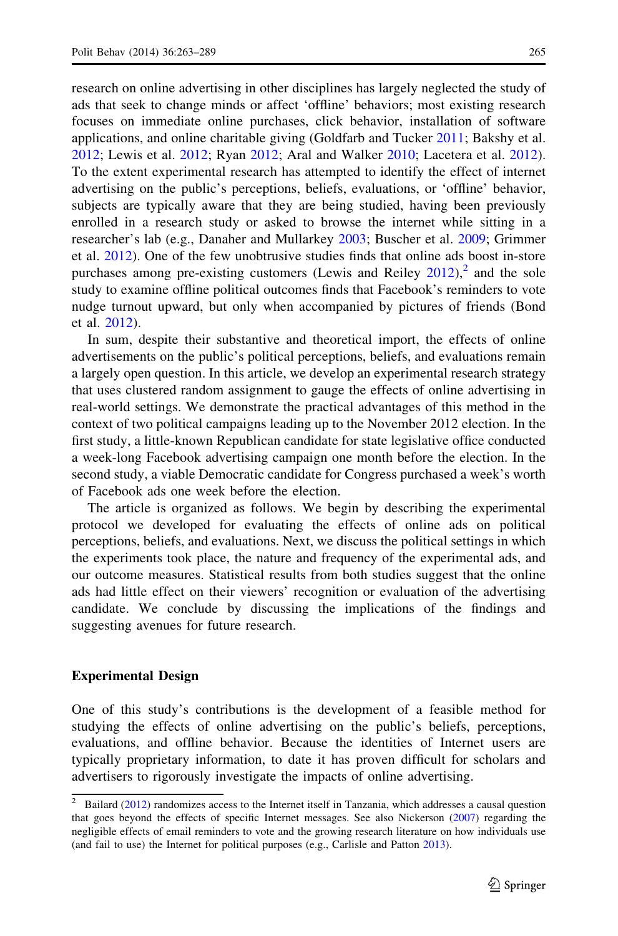research on online advertising in other disciplines has largely neglected the study of ads that seek to change minds or affect 'offline' behaviors; most existing research focuses on immediate online purchases, click behavior, installation of software applications, and online charitable giving (Goldfarb and Tucker [2011](#page-24-0); Bakshy et al. [2012;](#page-23-0) Lewis et al. [2012;](#page-25-0) Ryan [2012](#page-25-0); Aral and Walker [2010](#page-23-0); Lacetera et al. [2012\)](#page-25-0). To the extent experimental research has attempted to identify the effect of internet advertising on the public's perceptions, beliefs, evaluations, or 'offline' behavior, subjects are typically aware that they are being studied, having been previously enrolled in a research study or asked to browse the internet while sitting in a researcher's lab (e.g., Danaher and Mullarkey [2003;](#page-24-0) Buscher et al. [2009;](#page-23-0) Grimmer et al. [2012](#page-24-0)). One of the few unobtrusive studies finds that online ads boost in-store purchases among pre-existing customers (Lewis and Reiley  $2012$ ), and the sole study to examine offline political outcomes finds that Facebook's reminders to vote nudge turnout upward, but only when accompanied by pictures of friends (Bond et al. [2012\)](#page-23-0).

In sum, despite their substantive and theoretical import, the effects of online advertisements on the public's political perceptions, beliefs, and evaluations remain a largely open question. In this article, we develop an experimental research strategy that uses clustered random assignment to gauge the effects of online advertising in real-world settings. We demonstrate the practical advantages of this method in the context of two political campaigns leading up to the November 2012 election. In the first study, a little-known Republican candidate for state legislative office conducted a week-long Facebook advertising campaign one month before the election. In the second study, a viable Democratic candidate for Congress purchased a week's worth of Facebook ads one week before the election.

The article is organized as follows. We begin by describing the experimental protocol we developed for evaluating the effects of online ads on political perceptions, beliefs, and evaluations. Next, we discuss the political settings in which the experiments took place, the nature and frequency of the experimental ads, and our outcome measures. Statistical results from both studies suggest that the online ads had little effect on their viewers' recognition or evaluation of the advertising candidate. We conclude by discussing the implications of the findings and suggesting avenues for future research.

#### Experimental Design

One of this study's contributions is the development of a feasible method for studying the effects of online advertising on the public's beliefs, perceptions, evaluations, and offline behavior. Because the identities of Internet users are typically proprietary information, to date it has proven difficult for scholars and advertisers to rigorously investigate the impacts of online advertising.

<sup>2</sup> Bailard ([2012\)](#page-23-0) randomizes access to the Internet itself in Tanzania, which addresses a causal question that goes beyond the effects of specific Internet messages. See also Nickerson [\(2007](#page-25-0)) regarding the negligible effects of email reminders to vote and the growing research literature on how individuals use (and fail to use) the Internet for political purposes (e.g., Carlisle and Patton [2013\)](#page-24-0).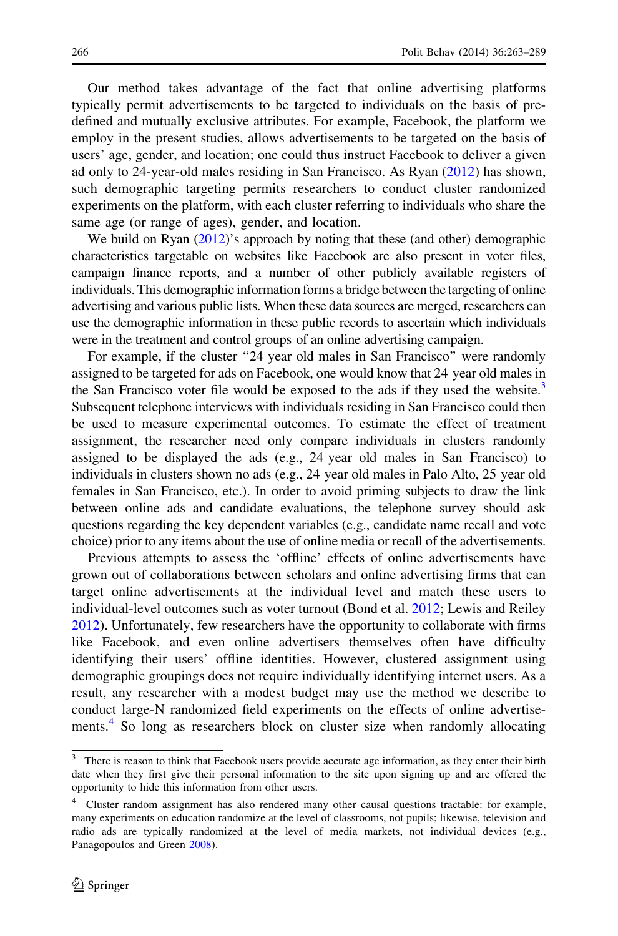Our method takes advantage of the fact that online advertising platforms typically permit advertisements to be targeted to individuals on the basis of predefined and mutually exclusive attributes. For example, Facebook, the platform we employ in the present studies, allows advertisements to be targeted on the basis of users' age, gender, and location; one could thus instruct Facebook to deliver a given ad only to 24-year-old males residing in San Francisco. As Ryan ([2012\)](#page-25-0) has shown, such demographic targeting permits researchers to conduct cluster randomized experiments on the platform, with each cluster referring to individuals who share the same age (or range of ages), gender, and location.

We build on Ryan [\(2012](#page-25-0))'s approach by noting that these (and other) demographic characteristics targetable on websites like Facebook are also present in voter files, campaign finance reports, and a number of other publicly available registers of individuals. This demographic information forms a bridge between the targeting of online advertising and various public lists. When these data sources are merged, researchers can use the demographic information in these public records to ascertain which individuals were in the treatment and control groups of an online advertising campaign.

For example, if the cluster "24 year old males in San Francisco" were randomly assigned to be targeted for ads on Facebook, one would know that 24 year old males in the San Francisco voter file would be exposed to the ads if they used the website.<sup>3</sup> Subsequent telephone interviews with individuals residing in San Francisco could then be used to measure experimental outcomes. To estimate the effect of treatment assignment, the researcher need only compare individuals in clusters randomly assigned to be displayed the ads (e.g., 24 year old males in San Francisco) to individuals in clusters shown no ads (e.g., 24 year old males in Palo Alto, 25 year old females in San Francisco, etc.). In order to avoid priming subjects to draw the link between online ads and candidate evaluations, the telephone survey should ask questions regarding the key dependent variables (e.g., candidate name recall and vote choice) prior to any items about the use of online media or recall of the advertisements.

Previous attempts to assess the 'offline' effects of online advertisements have grown out of collaborations between scholars and online advertising firms that can target online advertisements at the individual level and match these users to individual-level outcomes such as voter turnout (Bond et al. [2012](#page-23-0); Lewis and Reiley [2012\)](#page-25-0). Unfortunately, few researchers have the opportunity to collaborate with firms like Facebook, and even online advertisers themselves often have difficulty identifying their users' offline identities. However, clustered assignment using demographic groupings does not require individually identifying internet users. As a result, any researcher with a modest budget may use the method we describe to conduct large-N randomized field experiments on the effects of online advertisements.<sup>4</sup> So long as researchers block on cluster size when randomly allocating

There is reason to think that Facebook users provide accurate age information, as they enter their birth date when they first give their personal information to the site upon signing up and are offered the opportunity to hide this information from other users.

<sup>4</sup> Cluster random assignment has also rendered many other causal questions tractable: for example, many experiments on education randomize at the level of classrooms, not pupils; likewise, television and radio ads are typically randomized at the level of media markets, not individual devices (e.g., Panagopoulos and Green [2008](#page-25-0)).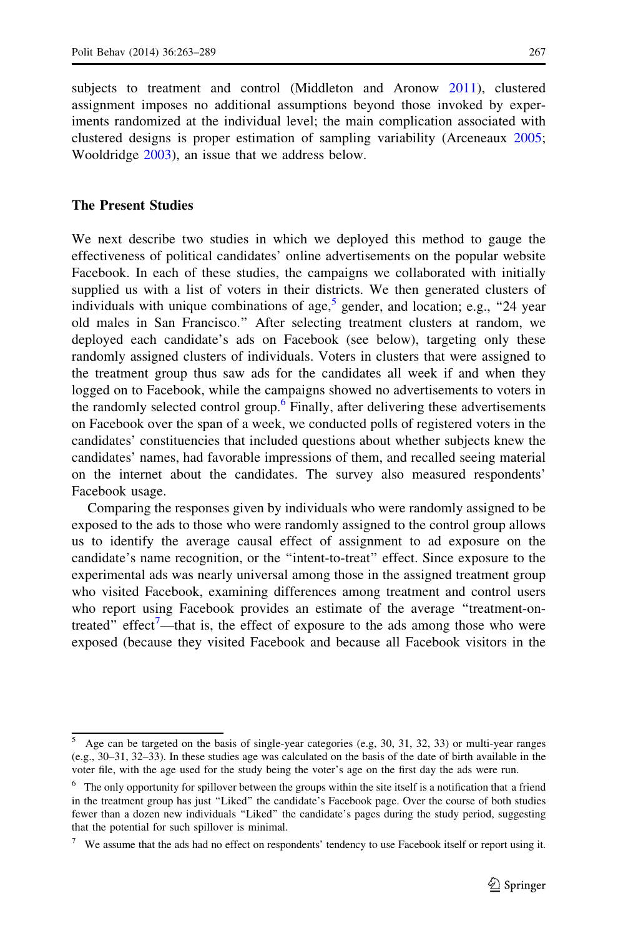subjects to treatment and control (Middleton and Aronow [2011](#page-25-0)), clustered assignment imposes no additional assumptions beyond those invoked by experiments randomized at the individual level; the main complication associated with clustered designs is proper estimation of sampling variability (Arceneaux [2005;](#page-23-0) Wooldridge [2003](#page-26-0)), an issue that we address below.

### The Present Studies

We next describe two studies in which we deployed this method to gauge the effectiveness of political candidates' online advertisements on the popular website Facebook. In each of these studies, the campaigns we collaborated with initially supplied us with a list of voters in their districts. We then generated clusters of individuals with unique combinations of age,  $5$  gender, and location; e.g., "24 year old males in San Francisco.'' After selecting treatment clusters at random, we deployed each candidate's ads on Facebook (see below), targeting only these randomly assigned clusters of individuals. Voters in clusters that were assigned to the treatment group thus saw ads for the candidates all week if and when they logged on to Facebook, while the campaigns showed no advertisements to voters in the randomly selected control group.<sup>6</sup> Finally, after delivering these advertisements on Facebook over the span of a week, we conducted polls of registered voters in the candidates' constituencies that included questions about whether subjects knew the candidates' names, had favorable impressions of them, and recalled seeing material on the internet about the candidates. The survey also measured respondents' Facebook usage.

Comparing the responses given by individuals who were randomly assigned to be exposed to the ads to those who were randomly assigned to the control group allows us to identify the average causal effect of assignment to ad exposure on the candidate's name recognition, or the ''intent-to-treat'' effect. Since exposure to the experimental ads was nearly universal among those in the assigned treatment group who visited Facebook, examining differences among treatment and control users who report using Facebook provides an estimate of the average ''treatment-ontreated" effect<sup>7</sup>—that is, the effect of exposure to the ads among those who were exposed (because they visited Facebook and because all Facebook visitors in the

<sup>5</sup> Age can be targeted on the basis of single-year categories (e.g, 30, 31, 32, 33) or multi-year ranges (e.g., 30–31, 32–33). In these studies age was calculated on the basis of the date of birth available in the voter file, with the age used for the study being the voter's age on the first day the ads were run.

<sup>&</sup>lt;sup>6</sup> The only opportunity for spillover between the groups within the site itself is a notification that a friend in the treatment group has just "Liked" the candidate's Facebook page. Over the course of both studies fewer than a dozen new individuals ''Liked'' the candidate's pages during the study period, suggesting that the potential for such spillover is minimal.

 $7$  We assume that the ads had no effect on respondents' tendency to use Facebook itself or report using it.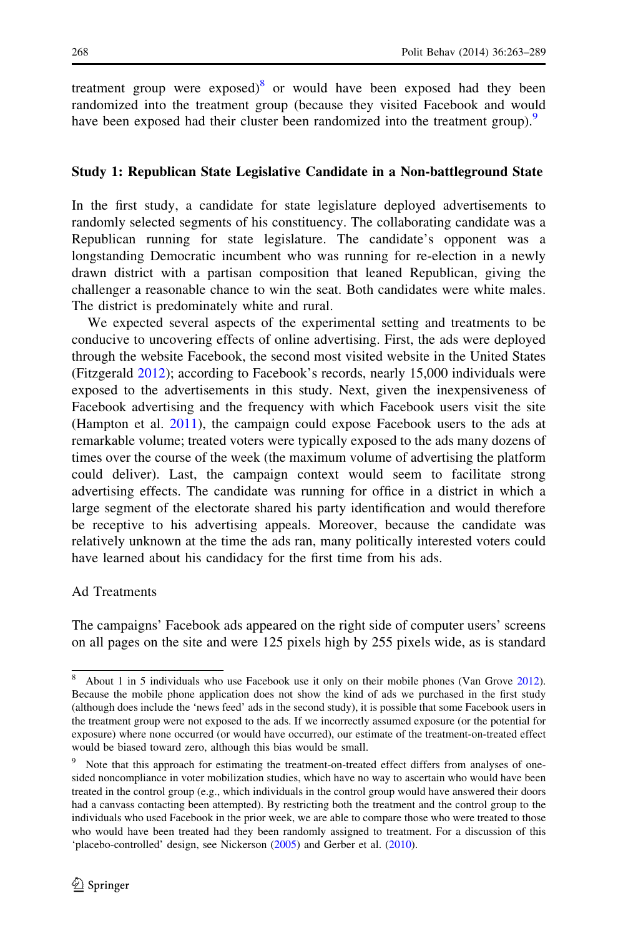treatment group were exposed)<sup>8</sup> or would have been exposed had they been randomized into the treatment group (because they visited Facebook and would have been exposed had their cluster been randomized into the treatment group).<sup>9</sup>

# Study 1: Republican State Legislative Candidate in a Non-battleground State

In the first study, a candidate for state legislature deployed advertisements to randomly selected segments of his constituency. The collaborating candidate was a Republican running for state legislature. The candidate's opponent was a longstanding Democratic incumbent who was running for re-election in a newly drawn district with a partisan composition that leaned Republican, giving the challenger a reasonable chance to win the seat. Both candidates were white males. The district is predominately white and rural.

We expected several aspects of the experimental setting and treatments to be conducive to uncovering effects of online advertising. First, the ads were deployed through the website Facebook, the second most visited website in the United States (Fitzgerald [2012\)](#page-24-0); according to Facebook's records, nearly 15,000 individuals were exposed to the advertisements in this study. Next, given the inexpensiveness of Facebook advertising and the frequency with which Facebook users visit the site (Hampton et al. [2011\)](#page-24-0), the campaign could expose Facebook users to the ads at remarkable volume; treated voters were typically exposed to the ads many dozens of times over the course of the week (the maximum volume of advertising the platform could deliver). Last, the campaign context would seem to facilitate strong advertising effects. The candidate was running for office in a district in which a large segment of the electorate shared his party identification and would therefore be receptive to his advertising appeals. Moreover, because the candidate was relatively unknown at the time the ads ran, many politically interested voters could have learned about his candidacy for the first time from his ads.

# Ad Treatments

The campaigns' Facebook ads appeared on the right side of computer users' screens on all pages on the site and were 125 pixels high by 255 pixels wide, as is standard

<sup>8</sup> About 1 in 5 individuals who use Facebook use it only on their mobile phones (Van Grove [2012\)](#page-26-0). Because the mobile phone application does not show the kind of ads we purchased in the first study (although does include the 'news feed' ads in the second study), it is possible that some Facebook users in the treatment group were not exposed to the ads. If we incorrectly assumed exposure (or the potential for exposure) where none occurred (or would have occurred), our estimate of the treatment-on-treated effect would be biased toward zero, although this bias would be small.

<sup>&</sup>lt;sup>9</sup> Note that this approach for estimating the treatment-on-treated effect differs from analyses of onesided noncompliance in voter mobilization studies, which have no way to ascertain who would have been treated in the control group (e.g., which individuals in the control group would have answered their doors had a canvass contacting been attempted). By restricting both the treatment and the control group to the individuals who used Facebook in the prior week, we are able to compare those who were treated to those who would have been treated had they been randomly assigned to treatment. For a discussion of this 'placebo-controlled' design, see Nickerson [\(2005](#page-25-0)) and Gerber et al. ([2010\)](#page-24-0).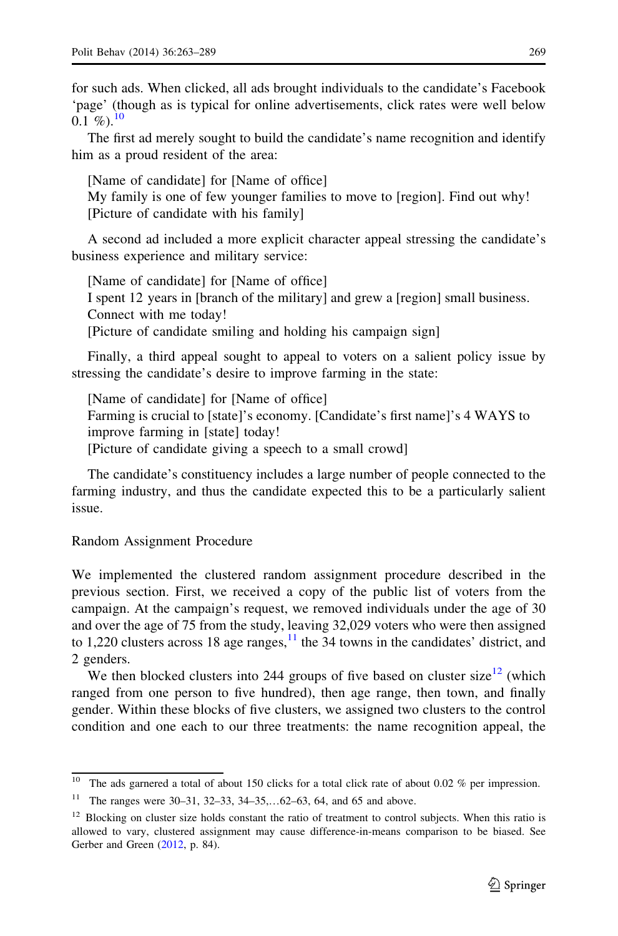for such ads. When clicked, all ads brought individuals to the candidate's Facebook 'page' (though as is typical for online advertisements, click rates were well below  $0.1 \%$ ).<sup>10</sup>

The first ad merely sought to build the candidate's name recognition and identify him as a proud resident of the area:

[Name of candidate] for [Name of office] My family is one of few younger families to move to [region]. Find out why! [Picture of candidate with his family]

A second ad included a more explicit character appeal stressing the candidate's business experience and military service:

[Name of candidate] for [Name of office] I spent 12 years in [branch of the military] and grew a [region] small business. Connect with me today! [Picture of candidate smiling and holding his campaign sign]

Finally, a third appeal sought to appeal to voters on a salient policy issue by stressing the candidate's desire to improve farming in the state:

[Name of candidate] for [Name of office] Farming is crucial to [state]'s economy. [Candidate's first name]'s 4 WAYS to improve farming in [state] today! [Picture of candidate giving a speech to a small crowd]

The candidate's constituency includes a large number of people connected to the farming industry, and thus the candidate expected this to be a particularly salient issue.

Random Assignment Procedure

We implemented the clustered random assignment procedure described in the previous section. First, we received a copy of the public list of voters from the campaign. At the campaign's request, we removed individuals under the age of 30 and over the age of 75 from the study, leaving 32,029 voters who were then assigned to 1,220 clusters across 18 age ranges,  $\frac{11}{11}$  the 34 towns in the candidates' district, and 2 genders.

We then blocked clusters into 244 groups of five based on cluster size<sup>12</sup> (which ranged from one person to five hundred), then age range, then town, and finally gender. Within these blocks of five clusters, we assigned two clusters to the control condition and one each to our three treatments: the name recognition appeal, the

<sup>&</sup>lt;sup>10</sup> The ads garnered a total of about 150 clicks for a total click rate of about 0.02 % per impression.

<sup>&</sup>lt;sup>11</sup> The ranges were 30–31, 32–33, 34–35,...62–63, 64, and 65 and above.

<sup>&</sup>lt;sup>12</sup> Blocking on cluster size holds constant the ratio of treatment to control subjects. When this ratio is allowed to vary, clustered assignment may cause difference-in-means comparison to be biased. See Gerber and Green ([2012,](#page-24-0) p. 84).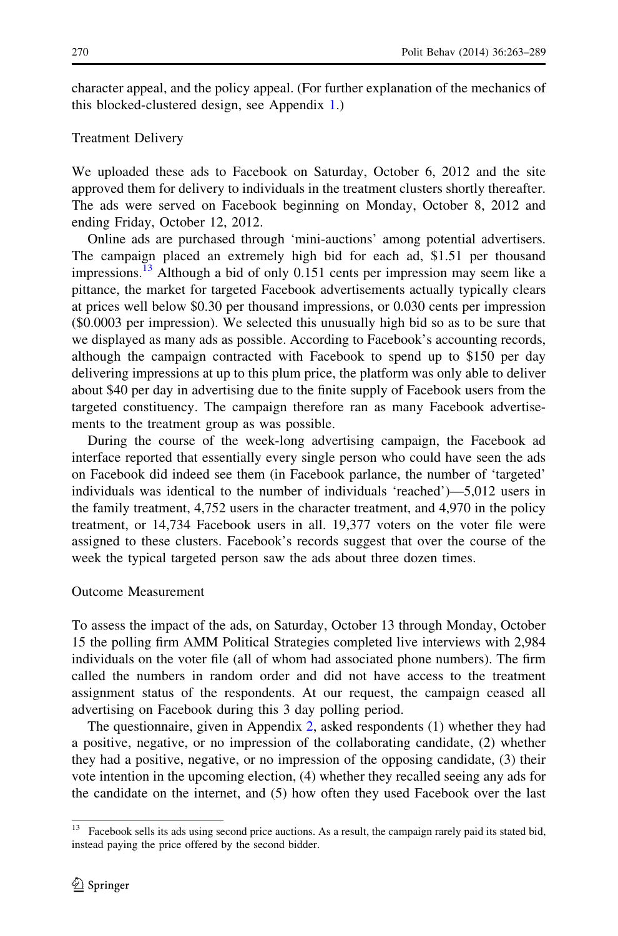character appeal, and the policy appeal. (For further explanation of the mechanics of this blocked-clustered design, see Appendix [1](#page-20-0).)

### Treatment Delivery

We uploaded these ads to Facebook on Saturday, October 6, 2012 and the site approved them for delivery to individuals in the treatment clusters shortly thereafter. The ads were served on Facebook beginning on Monday, October 8, 2012 and ending Friday, October 12, 2012.

Online ads are purchased through 'mini-auctions' among potential advertisers. The campaign placed an extremely high bid for each ad, \$1.51 per thousand impressions.<sup>13</sup> Although a bid of only 0.151 cents per impression may seem like a pittance, the market for targeted Facebook advertisements actually typically clears at prices well below \$0.30 per thousand impressions, or 0.030 cents per impression (\$0.0003 per impression). We selected this unusually high bid so as to be sure that we displayed as many ads as possible. According to Facebook's accounting records, although the campaign contracted with Facebook to spend up to \$150 per day delivering impressions at up to this plum price, the platform was only able to deliver about \$40 per day in advertising due to the finite supply of Facebook users from the targeted constituency. The campaign therefore ran as many Facebook advertisements to the treatment group as was possible.

During the course of the week-long advertising campaign, the Facebook ad interface reported that essentially every single person who could have seen the ads on Facebook did indeed see them (in Facebook parlance, the number of 'targeted' individuals was identical to the number of individuals 'reached')—5,012 users in the family treatment, 4,752 users in the character treatment, and 4,970 in the policy treatment, or 14,734 Facebook users in all. 19,377 voters on the voter file were assigned to these clusters. Facebook's records suggest that over the course of the week the typical targeted person saw the ads about three dozen times.

### Outcome Measurement

To assess the impact of the ads, on Saturday, October 13 through Monday, October 15 the polling firm AMM Political Strategies completed live interviews with 2,984 individuals on the voter file (all of whom had associated phone numbers). The firm called the numbers in random order and did not have access to the treatment assignment status of the respondents. At our request, the campaign ceased all advertising on Facebook during this 3 day polling period.

The questionnaire, given in Appendix [2,](#page-21-0) asked respondents (1) whether they had a positive, negative, or no impression of the collaborating candidate, (2) whether they had a positive, negative, or no impression of the opposing candidate, (3) their vote intention in the upcoming election, (4) whether they recalled seeing any ads for the candidate on the internet, and (5) how often they used Facebook over the last

 $\frac{13}{13}$  Facebook sells its ads using second price auctions. As a result, the campaign rarely paid its stated bid, instead paying the price offered by the second bidder.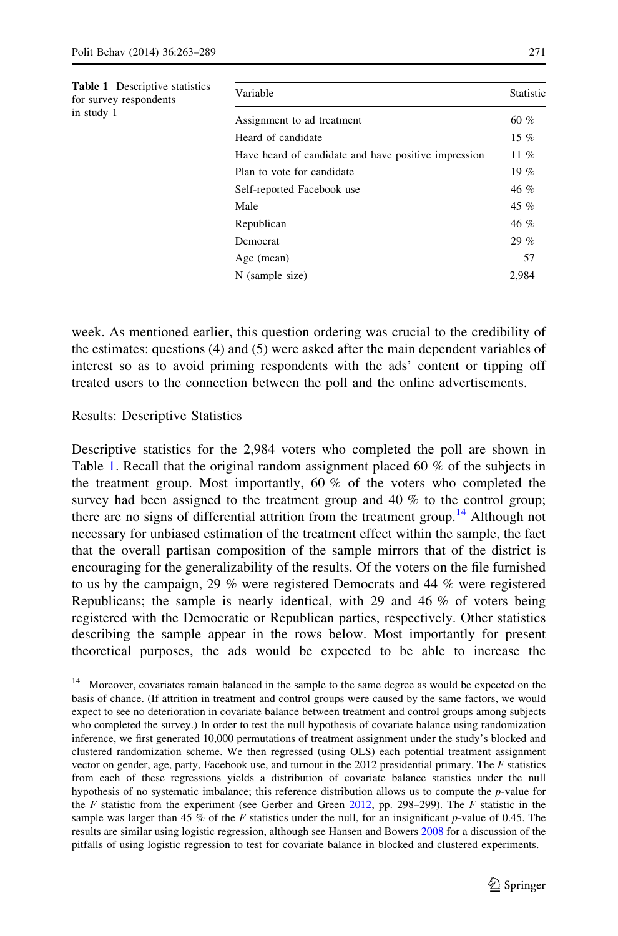| <b>Table 1</b> Descriptive statistics<br>for survey respondents<br>in study 1 | Variable                                             | Statistic |
|-------------------------------------------------------------------------------|------------------------------------------------------|-----------|
|                                                                               | Assignment to ad treatment                           | 60%       |
|                                                                               | Heard of candidate                                   | 15 $%$    |
|                                                                               | Have heard of candidate and have positive impression | 11 $%$    |
|                                                                               | Plan to vote for candidate                           | 19%       |
|                                                                               | Self-reported Facebook use                           | 46 %      |
|                                                                               | Male                                                 | 45 %      |
|                                                                               | Republican                                           | 46 %      |
|                                                                               | Democrat                                             | 29%       |
|                                                                               | Age (mean)                                           | 57        |
|                                                                               | N (sample size)                                      | 2.984     |

week. As mentioned earlier, this question ordering was crucial to the credibility of the estimates: questions (4) and (5) were asked after the main dependent variables of interest so as to avoid priming respondents with the ads' content or tipping off treated users to the connection between the poll and the online advertisements.

# Results: Descriptive Statistics

Descriptive statistics for the 2,984 voters who completed the poll are shown in Table 1. Recall that the original random assignment placed 60 % of the subjects in the treatment group. Most importantly, 60 % of the voters who completed the survey had been assigned to the treatment group and 40 % to the control group; there are no signs of differential attrition from the treatment group.<sup>14</sup> Although not necessary for unbiased estimation of the treatment effect within the sample, the fact that the overall partisan composition of the sample mirrors that of the district is encouraging for the generalizability of the results. Of the voters on the file furnished to us by the campaign, 29 % were registered Democrats and 44 % were registered Republicans; the sample is nearly identical, with 29 and 46 % of voters being registered with the Democratic or Republican parties, respectively. Other statistics describing the sample appear in the rows below. Most importantly for present theoretical purposes, the ads would be expected to be able to increase the

<sup>&</sup>lt;sup>14</sup> Moreover, covariates remain balanced in the sample to the same degree as would be expected on the basis of chance. (If attrition in treatment and control groups were caused by the same factors, we would expect to see no deterioration in covariate balance between treatment and control groups among subjects who completed the survey.) In order to test the null hypothesis of covariate balance using randomization inference, we first generated 10,000 permutations of treatment assignment under the study's blocked and clustered randomization scheme. We then regressed (using OLS) each potential treatment assignment vector on gender, age, party, Facebook use, and turnout in the 2012 presidential primary. The F statistics from each of these regressions yields a distribution of covariate balance statistics under the null hypothesis of no systematic imbalance; this reference distribution allows us to compute the p-value for the  $F$  statistic from the experiment (see Gerber and Green [2012](#page-24-0), pp. 298–299). The  $F$  statistic in the sample was larger than 45 % of the  $F$  statistics under the null, for an insignificant  $p$ -value of 0.45. The results are similar using logistic regression, although see Hansen and Bowers [2008](#page-24-0) for a discussion of the pitfalls of using logistic regression to test for covariate balance in blocked and clustered experiments.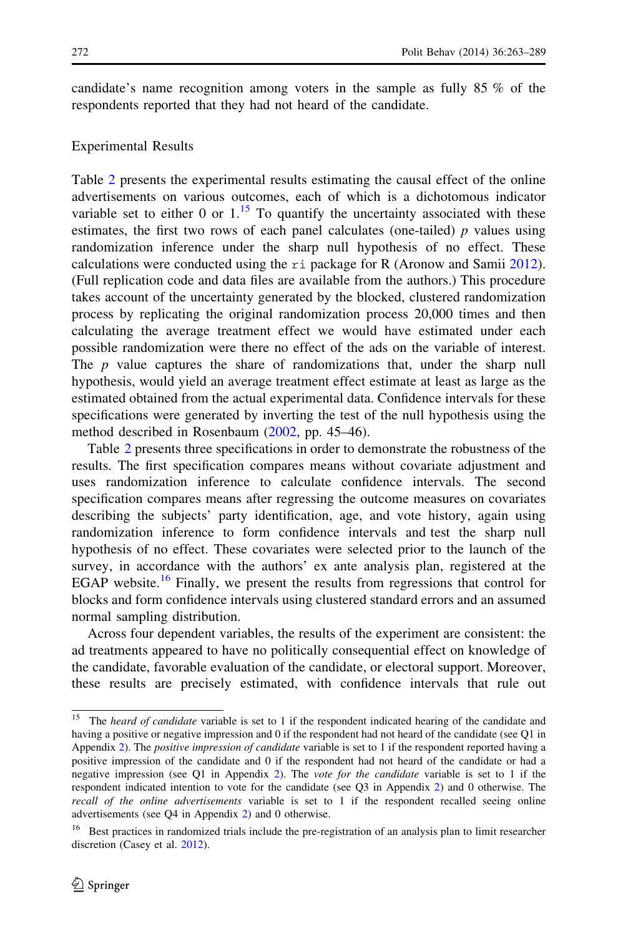candidate's name recognition among voters in the sample as fully 85 % of the respondents reported that they had not heard of the candidate.

### Experimental Results

Table [2](#page-10-0) presents the experimental results estimating the causal effect of the online advertisements on various outcomes, each of which is a dichotomous indicator variable set to either 0 or  $1<sup>15</sup>$  To quantify the uncertainty associated with these estimates, the first two rows of each panel calculates (one-tailed)  $p$  values using randomization inference under the sharp null hypothesis of no effect. These calculations were conducted using the  $r_i$  package for R (Aronow and Samii [2012\)](#page-23-0). (Full replication code and data files are available from the authors.) This procedure takes account of the uncertainty generated by the blocked, clustered randomization process by replicating the original randomization process 20,000 times and then calculating the average treatment effect we would have estimated under each possible randomization were there no effect of the ads on the variable of interest. The p value captures the share of randomizations that, under the sharp null hypothesis, would yield an average treatment effect estimate at least as large as the estimated obtained from the actual experimental data. Confidence intervals for these specifications were generated by inverting the test of the null hypothesis using the method described in Rosenbaum [\(2002](#page-25-0), pp. 45–46).

Table [2](#page-10-0) presents three specifications in order to demonstrate the robustness of the results. The first specification compares means without covariate adjustment and uses randomization inference to calculate confidence intervals. The second specification compares means after regressing the outcome measures on covariates describing the subjects' party identification, age, and vote history, again using randomization inference to form confidence intervals and test the sharp null hypothesis of no effect. These covariates were selected prior to the launch of the survey, in accordance with the authors' ex ante analysis plan, registered at the EGAP website.<sup>16</sup> Finally, we present the results from regressions that control for blocks and form confidence intervals using clustered standard errors and an assumed normal sampling distribution.

Across four dependent variables, the results of the experiment are consistent: the ad treatments appeared to have no politically consequential effect on knowledge of the candidate, favorable evaluation of the candidate, or electoral support. Moreover, these results are precisely estimated, with confidence intervals that rule out

<sup>&</sup>lt;sup>15</sup> The *heard of candidate* variable is set to 1 if the respondent indicated hearing of the candidate and having a positive or negative impression and 0 if the respondent had not heard of the candidate (see Q1 in Appendix [2](#page-21-0)). The *positive impression of candidate* variable is set to 1 if the respondent reported having a positive impression of the candidate and 0 if the respondent had not heard of the candidate or had a negative impression (see Q1 in Appendix [2\)](#page-21-0). The vote for the candidate variable is set to 1 if the respondent indicated intention to vote for the candidate (see Q3 in Appendix [2](#page-21-0)) and 0 otherwise. The recall of the online advertisements variable is set to 1 if the respondent recalled seeing online advertisements (see Q4 in Appendix [2](#page-21-0)) and 0 otherwise.

<sup>&</sup>lt;sup>16</sup> Best practices in randomized trials include the pre-registration of an analysis plan to limit researcher discretion (Casey et al. [2012\)](#page-24-0).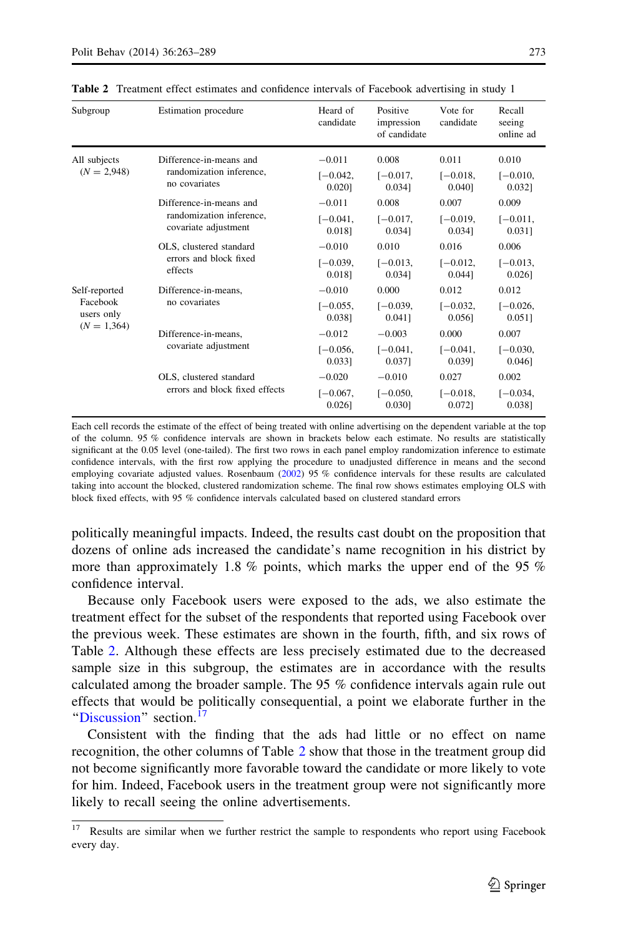<span id="page-10-0"></span>

|          | <b>Table 2</b> Treatment effect estimates and confidence intervals of Facebook advertising in study 1 |                       |                               |                       |                          |
|----------|-------------------------------------------------------------------------------------------------------|-----------------------|-------------------------------|-----------------------|--------------------------|
| Subgroup | Estimation procedure                                                                                  | Heard of<br>eandidate | <b>Positive</b><br>impression | Vote for<br>candidate | Recall<br>$capin \sigma$ |

| Subgroup                                                 | Estimation procedure                                         | Heard of<br>candidate   | Positive<br>impression<br>of candidate | Vote for<br>candidate   | Recall<br>seeing<br>online ad |
|----------------------------------------------------------|--------------------------------------------------------------|-------------------------|----------------------------------------|-------------------------|-------------------------------|
| All subjects                                             | Difference-in-means and                                      | $-0.011$                | 0.008                                  | 0.011                   | 0.010                         |
| $(N = 2,948)$                                            | randomization inference,<br>no covariates                    | $[-0.042,$<br>$0.020$ ] | $[-0.017,$<br>0.034]                   | $[-0.018,$<br>$0.040$ ] | $[-0.010,$<br>$0.032$ ]       |
|                                                          | Difference-in-means and                                      | $-0.011$                | 0.008                                  | 0.007                   | 0.009                         |
|                                                          | randomization inference,<br>covariate adjustment             | $[-0.041,$<br>0.018]    | $[-0.017,$<br>$0.034$ ]                | $[-0.019,$<br>$0.034$ ] | $[-0.011,$<br>$0.031$ ]       |
|                                                          | OLS, clustered standard<br>errors and block fixed<br>effects | $-0.010$                | 0.010                                  | 0.016                   | 0.006                         |
|                                                          |                                                              | $[-0.039,$<br>0.018]    | $[-0.013,$<br>$0.034$ ]                | $[-0.012,$<br>$0.044$ ] | $[-0.013,$<br>$0.026$ ]       |
| Self-reported<br>Facebook<br>users only<br>$(N = 1,364)$ | Difference-in-means,                                         | $-0.010$                | 0.000                                  | 0.012                   | 0.012                         |
|                                                          | no covariates                                                | $[-0.055,$<br>0.0381    | $[-0.039,$<br>$0.041$ ]                | $[-0.032,$<br>$0.056$ ] | $[-0.026,$<br>$0.051$ ]       |
|                                                          | Difference-in-means,<br>covariate adjustment                 | $-0.012$                | $-0.003$                               | 0.000                   | 0.007                         |
|                                                          |                                                              | $[-0.056,$<br>0.0331    | $[-0.041]$<br>$0.037$ ]                | $[-0.041,$<br>0.0391    | $[-0.030,$<br>$0.046$ ]       |
|                                                          | OLS, clustered standard                                      | $-0.020$                | $-0.010$                               | 0.027                   | 0.002                         |
|                                                          | errors and block fixed effects                               | $[-0.067,$<br>$0.026$ ] | $[-0.050,$<br>$0.030$ ]                | $[-0.018,$<br>0.0721    | $[-0.034,$<br>0.0381          |

Each cell records the estimate of the effect of being treated with online advertising on the dependent variable at the top of the column. 95 % confidence intervals are shown in brackets below each estimate. No results are statistically significant at the 0.05 level (one-tailed). The first two rows in each panel employ randomization inference to estimate confidence intervals, with the first row applying the procedure to unadjusted difference in means and the second employing covariate adjusted values. Rosenbaum [\(2002](#page-25-0)) 95 % confidence intervals for these results are calculated taking into account the blocked, clustered randomization scheme. The final row shows estimates employing OLS with block fixed effects, with 95 % confidence intervals calculated based on clustered standard errors

politically meaningful impacts. Indeed, the results cast doubt on the proposition that dozens of online ads increased the candidate's name recognition in his district by more than approximately 1.8 % points, which marks the upper end of the 95 % confidence interval.

Because only Facebook users were exposed to the ads, we also estimate the treatment effect for the subset of the respondents that reported using Facebook over the previous week. These estimates are shown in the fourth, fifth, and six rows of Table 2. Although these effects are less precisely estimated due to the decreased sample size in this subgroup, the estimates are in accordance with the results calculated among the broader sample. The 95 % confidence intervals again rule out effects that would be politically consequential, a point we elaborate further in the "[Discussion](#page-16-0)" section.<sup>17</sup>

Consistent with the finding that the ads had little or no effect on name recognition, the other columns of Table 2 show that those in the treatment group did not become significantly more favorable toward the candidate or more likely to vote for him. Indeed, Facebook users in the treatment group were not significantly more likely to recall seeing the online advertisements.

<sup>17</sup> Results are similar when we further restrict the sample to respondents who report using Facebook every day.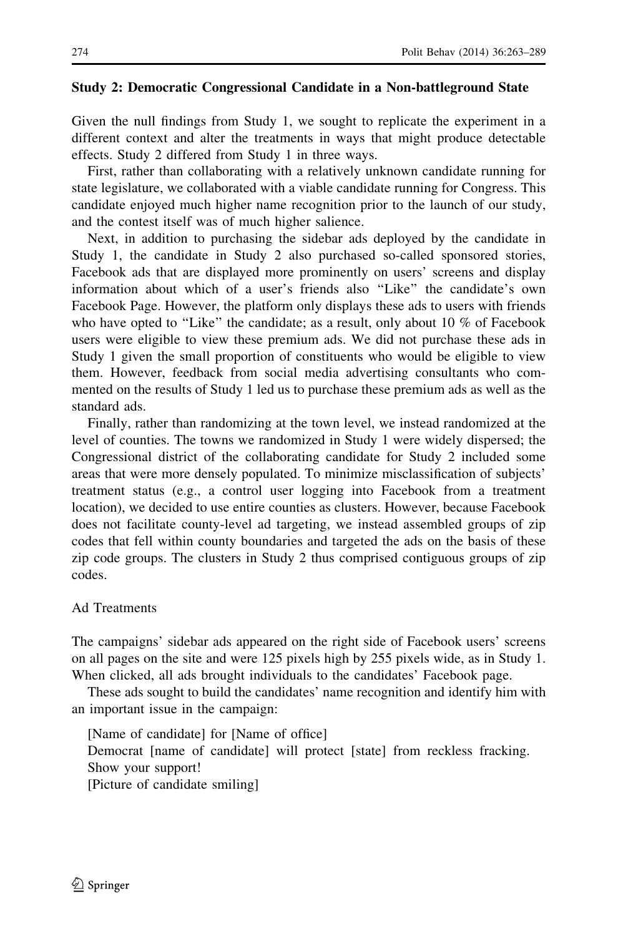### Study 2: Democratic Congressional Candidate in a Non-battleground State

Given the null findings from Study 1, we sought to replicate the experiment in a different context and alter the treatments in ways that might produce detectable effects. Study 2 differed from Study 1 in three ways.

First, rather than collaborating with a relatively unknown candidate running for state legislature, we collaborated with a viable candidate running for Congress. This candidate enjoyed much higher name recognition prior to the launch of our study, and the contest itself was of much higher salience.

Next, in addition to purchasing the sidebar ads deployed by the candidate in Study 1, the candidate in Study 2 also purchased so-called sponsored stories, Facebook ads that are displayed more prominently on users' screens and display information about which of a user's friends also ''Like'' the candidate's own Facebook Page. However, the platform only displays these ads to users with friends who have opted to "Like" the candidate; as a result, only about 10  $\%$  of Facebook users were eligible to view these premium ads. We did not purchase these ads in Study 1 given the small proportion of constituents who would be eligible to view them. However, feedback from social media advertising consultants who commented on the results of Study 1 led us to purchase these premium ads as well as the standard ads.

Finally, rather than randomizing at the town level, we instead randomized at the level of counties. The towns we randomized in Study 1 were widely dispersed; the Congressional district of the collaborating candidate for Study 2 included some areas that were more densely populated. To minimize misclassification of subjects' treatment status (e.g., a control user logging into Facebook from a treatment location), we decided to use entire counties as clusters. However, because Facebook does not facilitate county-level ad targeting, we instead assembled groups of zip codes that fell within county boundaries and targeted the ads on the basis of these zip code groups. The clusters in Study 2 thus comprised contiguous groups of zip codes.

#### Ad Treatments

The campaigns' sidebar ads appeared on the right side of Facebook users' screens on all pages on the site and were 125 pixels high by 255 pixels wide, as in Study 1. When clicked, all ads brought individuals to the candidates' Facebook page.

These ads sought to build the candidates' name recognition and identify him with an important issue in the campaign:

[Name of candidate] for [Name of office] Democrat [name of candidate] will protect [state] from reckless fracking. Show your support! [Picture of candidate smiling]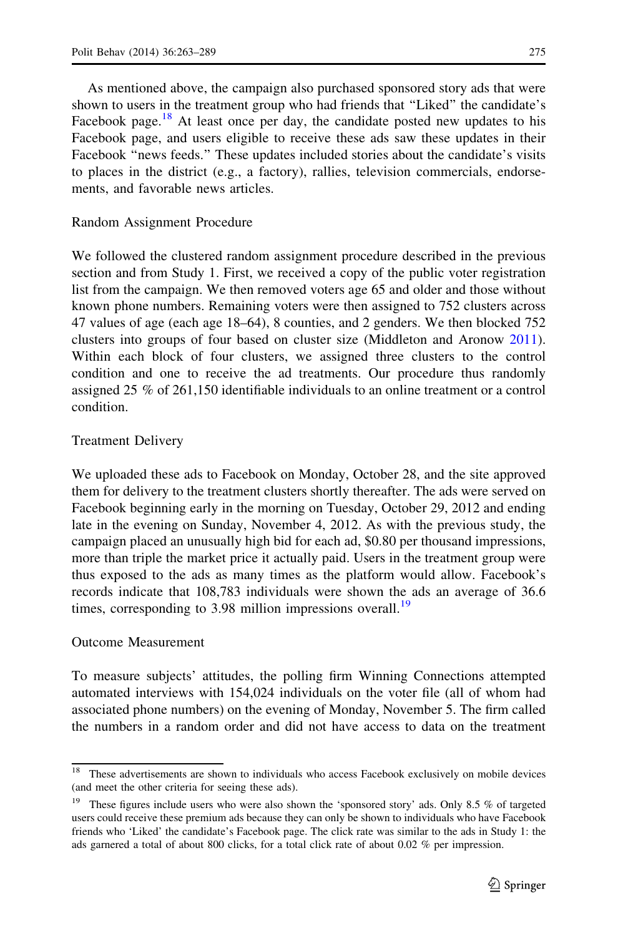As mentioned above, the campaign also purchased sponsored story ads that were shown to users in the treatment group who had friends that ''Liked'' the candidate's Facebook page.<sup>18</sup> At least once per day, the candidate posted new updates to his Facebook page, and users eligible to receive these ads saw these updates in their Facebook ''news feeds.'' These updates included stories about the candidate's visits to places in the district (e.g., a factory), rallies, television commercials, endorsements, and favorable news articles.

# Random Assignment Procedure

We followed the clustered random assignment procedure described in the previous section and from Study 1. First, we received a copy of the public voter registration list from the campaign. We then removed voters age 65 and older and those without known phone numbers. Remaining voters were then assigned to 752 clusters across 47 values of age (each age 18–64), 8 counties, and 2 genders. We then blocked 752 clusters into groups of four based on cluster size (Middleton and Aronow [2011\)](#page-25-0). Within each block of four clusters, we assigned three clusters to the control condition and one to receive the ad treatments. Our procedure thus randomly assigned 25 % of 261,150 identifiable individuals to an online treatment or a control condition.

# Treatment Delivery

We uploaded these ads to Facebook on Monday, October 28, and the site approved them for delivery to the treatment clusters shortly thereafter. The ads were served on Facebook beginning early in the morning on Tuesday, October 29, 2012 and ending late in the evening on Sunday, November 4, 2012. As with the previous study, the campaign placed an unusually high bid for each ad, \$0.80 per thousand impressions, more than triple the market price it actually paid. Users in the treatment group were thus exposed to the ads as many times as the platform would allow. Facebook's records indicate that 108,783 individuals were shown the ads an average of 36.6 times, corresponding to  $3.98$  million impressions overall.<sup>19</sup>

# Outcome Measurement

To measure subjects' attitudes, the polling firm Winning Connections attempted automated interviews with 154,024 individuals on the voter file (all of whom had associated phone numbers) on the evening of Monday, November 5. The firm called the numbers in a random order and did not have access to data on the treatment

<sup>18</sup> These advertisements are shown to individuals who access Facebook exclusively on mobile devices (and meet the other criteria for seeing these ads).

<sup>&</sup>lt;sup>19</sup> These figures include users who were also shown the 'sponsored story' ads. Only 8.5 % of targeted users could receive these premium ads because they can only be shown to individuals who have Facebook friends who 'Liked' the candidate's Facebook page. The click rate was similar to the ads in Study 1: the ads garnered a total of about 800 clicks, for a total click rate of about 0.02 % per impression.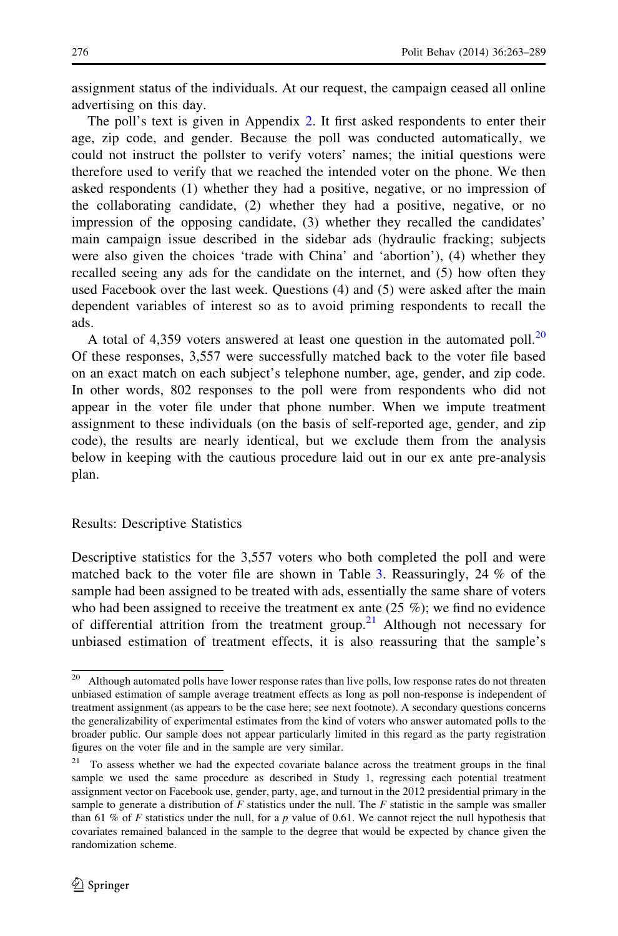assignment status of the individuals. At our request, the campaign ceased all online advertising on this day.

The poll's text is given in Appendix [2](#page-21-0). It first asked respondents to enter their age, zip code, and gender. Because the poll was conducted automatically, we could not instruct the pollster to verify voters' names; the initial questions were therefore used to verify that we reached the intended voter on the phone. We then asked respondents (1) whether they had a positive, negative, or no impression of the collaborating candidate, (2) whether they had a positive, negative, or no impression of the opposing candidate, (3) whether they recalled the candidates' main campaign issue described in the sidebar ads (hydraulic fracking; subjects were also given the choices 'trade with China' and 'abortion'), (4) whether they recalled seeing any ads for the candidate on the internet, and (5) how often they used Facebook over the last week. Questions (4) and (5) were asked after the main dependent variables of interest so as to avoid priming respondents to recall the ads.

A total of 4,359 voters answered at least one question in the automated poll.<sup>20</sup> Of these responses, 3,557 were successfully matched back to the voter file based on an exact match on each subject's telephone number, age, gender, and zip code. In other words, 802 responses to the poll were from respondents who did not appear in the voter file under that phone number. When we impute treatment assignment to these individuals (on the basis of self-reported age, gender, and zip code), the results are nearly identical, but we exclude them from the analysis below in keeping with the cautious procedure laid out in our ex ante pre-analysis plan.

# Results: Descriptive Statistics

Descriptive statistics for the 3,557 voters who both completed the poll and were matched back to the voter file are shown in Table [3](#page-14-0). Reassuringly, 24 % of the sample had been assigned to be treated with ads, essentially the same share of voters who had been assigned to receive the treatment ex ante  $(25 \%)$ ; we find no evidence of differential attrition from the treatment group.<sup>21</sup> Although not necessary for unbiased estimation of treatment effects, it is also reassuring that the sample's

<sup>&</sup>lt;sup>20</sup> Although automated polls have lower response rates than live polls, low response rates do not threaten unbiased estimation of sample average treatment effects as long as poll non-response is independent of treatment assignment (as appears to be the case here; see next footnote). A secondary questions concerns the generalizability of experimental estimates from the kind of voters who answer automated polls to the broader public. Our sample does not appear particularly limited in this regard as the party registration figures on the voter file and in the sample are very similar.

<sup>&</sup>lt;sup>21</sup> To assess whether we had the expected covariate balance across the treatment groups in the final sample we used the same procedure as described in Study 1, regressing each potential treatment assignment vector on Facebook use, gender, party, age, and turnout in the 2012 presidential primary in the sample to generate a distribution of  $F$  statistics under the null. The  $F$  statistic in the sample was smaller than 61 % of F statistics under the null, for a p value of 0.61. We cannot reject the null hypothesis that covariates remained balanced in the sample to the degree that would be expected by chance given the randomization scheme.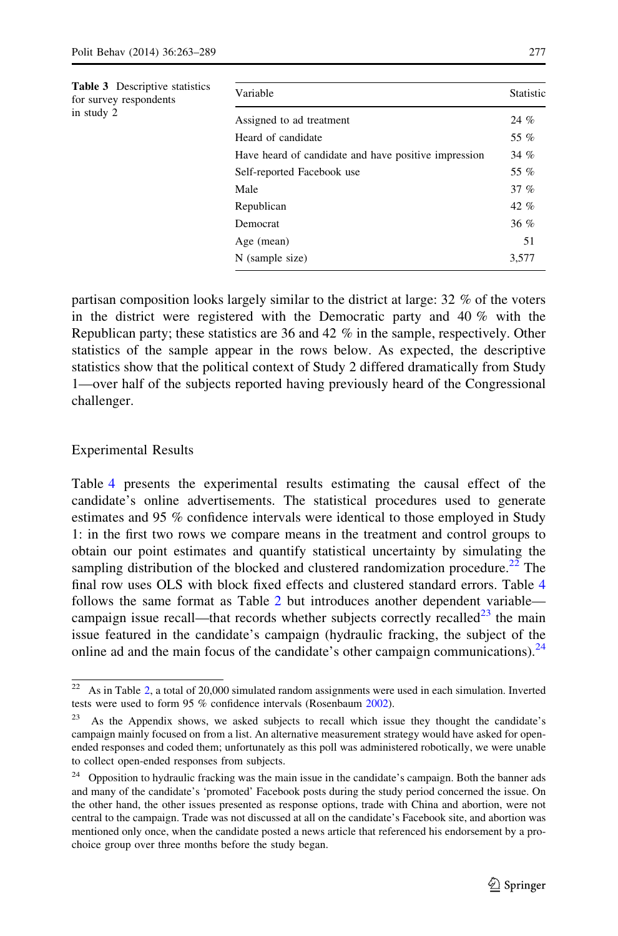<span id="page-14-0"></span>

| <b>Table 3</b> Descriptive statistics<br>for survey respondents<br>in study 2 | Variable                                             | Statistic |
|-------------------------------------------------------------------------------|------------------------------------------------------|-----------|
|                                                                               | Assigned to ad treatment                             | 24 %      |
|                                                                               | Heard of candidate                                   | 55 %      |
|                                                                               | Have heard of candidate and have positive impression | 34%       |
|                                                                               | Self-reported Facebook use                           | 55 %      |
|                                                                               | Male                                                 | 37%       |
|                                                                               | Republican                                           | 42 %      |
|                                                                               | Democrat                                             | 36%       |
|                                                                               | Age (mean)                                           | 51        |
|                                                                               | N (sample size)                                      | 3.577     |

partisan composition looks largely similar to the district at large: 32 % of the voters in the district were registered with the Democratic party and  $40\%$  with the Republican party; these statistics are 36 and 42 % in the sample, respectively. Other statistics of the sample appear in the rows below. As expected, the descriptive statistics show that the political context of Study 2 differed dramatically from Study 1—over half of the subjects reported having previously heard of the Congressional challenger.

# Experimental Results

Table [4](#page-15-0) presents the experimental results estimating the causal effect of the candidate's online advertisements. The statistical procedures used to generate estimates and 95 % confidence intervals were identical to those employed in Study 1: in the first two rows we compare means in the treatment and control groups to obtain our point estimates and quantify statistical uncertainty by simulating the sampling distribution of the blocked and clustered randomization procedure.<sup>22</sup> The final row uses OLS with block fixed effects and clustered standard errors. Table [4](#page-15-0) follows the same format as Table [2](#page-10-0) but introduces another dependent variable campaign issue recall—that records whether subjects correctly recalled<sup>23</sup> the main issue featured in the candidate's campaign (hydraulic fracking, the subject of the online ad and the main focus of the candidate's other campaign communications).<sup>24</sup>

As in Table [2,](#page-10-0) a total of 20,000 simulated random assignments were used in each simulation. Inverted tests were used to form 95 % confidence intervals (Rosenbaum [2002](#page-25-0)).

 $23$  As the Appendix shows, we asked subjects to recall which issue they thought the candidate's campaign mainly focused on from a list. An alternative measurement strategy would have asked for openended responses and coded them; unfortunately as this poll was administered robotically, we were unable to collect open-ended responses from subjects.

<sup>&</sup>lt;sup>24</sup> Opposition to hydraulic fracking was the main issue in the candidate's campaign. Both the banner ads and many of the candidate's 'promoted' Facebook posts during the study period concerned the issue. On the other hand, the other issues presented as response options, trade with China and abortion, were not central to the campaign. Trade was not discussed at all on the candidate's Facebook site, and abortion was mentioned only once, when the candidate posted a news article that referenced his endorsement by a prochoice group over three months before the study began.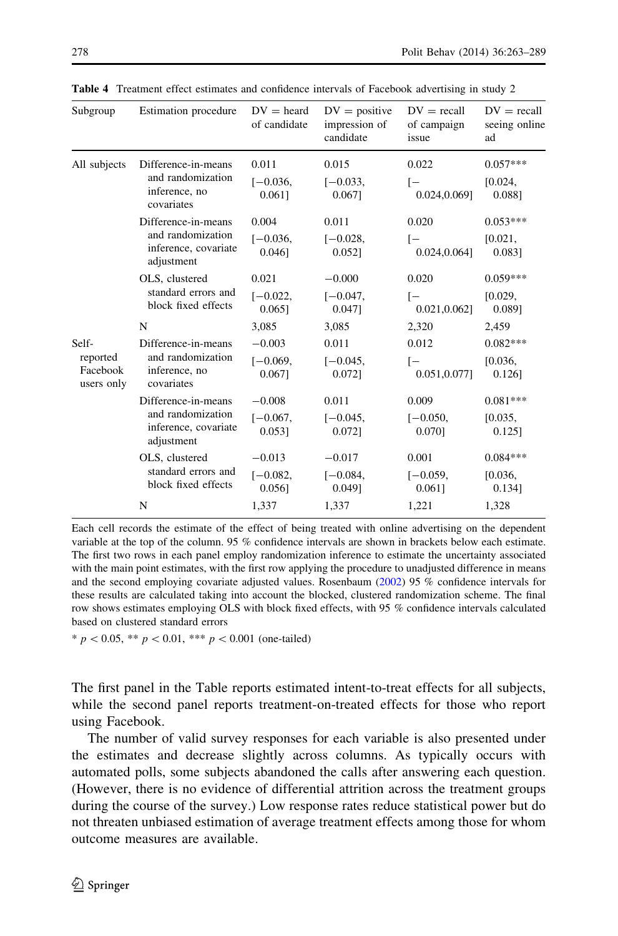| Subgroup                           | Estimation procedure                                    | $DV =$ heard<br>of candidate | $DV = positive$<br>impression of<br>candidate | $DV = recall$<br>of campaign<br>issue | $DV = recall$<br>seeing online<br>ad |
|------------------------------------|---------------------------------------------------------|------------------------------|-----------------------------------------------|---------------------------------------|--------------------------------------|
| All subjects                       | Difference-in-means                                     | 0.011                        | 0.015                                         | 0.022                                 | $0.057***$                           |
|                                    | and randomization<br>inference, no<br>covariates        | $[-0.036,$<br>0.0611         | $[-0.033,$<br>0.0671                          | $[-$<br>0.024,0.0691                  | [0.024,<br>0.0881                    |
|                                    | Difference-in-means                                     | 0.004                        | 0.011                                         | 0.020                                 | $0.053***$                           |
|                                    | and randomization<br>inference, covariate<br>adjustment | $[-0.036,$<br>$0.046$ ]      | $[-0.028,$<br>0.0521                          | $\overline{ }$<br>0.024,0.0641        | [0.021,<br>0.0831                    |
|                                    | OLS, clustered                                          | 0.021                        | $-0.000$                                      | 0.020                                 | $0.059***$                           |
|                                    | standard errors and<br>block fixed effects              | $[-0.022,$<br>$0.065$ ]      | $[-0.047,$<br>0.0471                          | $\overline{ }$<br>$0.021, 0.062$ ]    | [0.029,<br>0.089]                    |
|                                    | N                                                       | 3,085                        | 3,085                                         | 2,320                                 | 2,459                                |
| Self-                              | Difference-in-means                                     | $-0.003$                     | 0.011                                         | 0.012                                 | $0.082***$                           |
| reported<br>Facebook<br>users only | and randomization<br>inference, no<br>covariates        | $[-0.069,$<br>0.0671         | $[-0.045,$<br>0.0721                          | $\overline{ }$<br>0.051,0.0771        | [0.036,<br>0.126]                    |
|                                    | Difference-in-means                                     | $-0.008$                     | 0.011                                         | 0.009                                 | $0.081***$                           |
|                                    | and randomization<br>inference, covariate<br>adjustment | $[-0.067,$<br>0.0531         | $[-0.045,$<br>0.0721                          | $[-0.050,$<br>0.0701                  | [0.035,<br>0.1251                    |
|                                    | OLS, clustered                                          | $-0.013$                     | $-0.017$                                      | 0.001                                 | $0.084***$                           |
|                                    | standard errors and<br>block fixed effects              | $[-0.082,$<br>$0.056$ ]      | $[-0.084,$<br>0.0491                          | $[-0.059,$<br>0.0611                  | [0.036,<br>0.134]                    |
|                                    | N                                                       | 1,337                        | 1,337                                         | 1,221                                 | 1,328                                |

<span id="page-15-0"></span>Table 4 Treatment effect estimates and confidence intervals of Facebook advertising in study 2

Each cell records the estimate of the effect of being treated with online advertising on the dependent variable at the top of the column. 95 % confidence intervals are shown in brackets below each estimate. The first two rows in each panel employ randomization inference to estimate the uncertainty associated with the main point estimates, with the first row applying the procedure to unadjusted difference in means and the second employing covariate adjusted values. Rosenbaum ([2002\)](#page-25-0) 95 % confidence intervals for these results are calculated taking into account the blocked, clustered randomization scheme. The final row shows estimates employing OLS with block fixed effects, with 95 % confidence intervals calculated based on clustered standard errors

 $* p < 0.05, ** p < 0.01, *** p < 0.001$  (one-tailed)

The first panel in the Table reports estimated intent-to-treat effects for all subjects, while the second panel reports treatment-on-treated effects for those who report using Facebook.

The number of valid survey responses for each variable is also presented under the estimates and decrease slightly across columns. As typically occurs with automated polls, some subjects abandoned the calls after answering each question. (However, there is no evidence of differential attrition across the treatment groups during the course of the survey.) Low response rates reduce statistical power but do not threaten unbiased estimation of average treatment effects among those for whom outcome measures are available.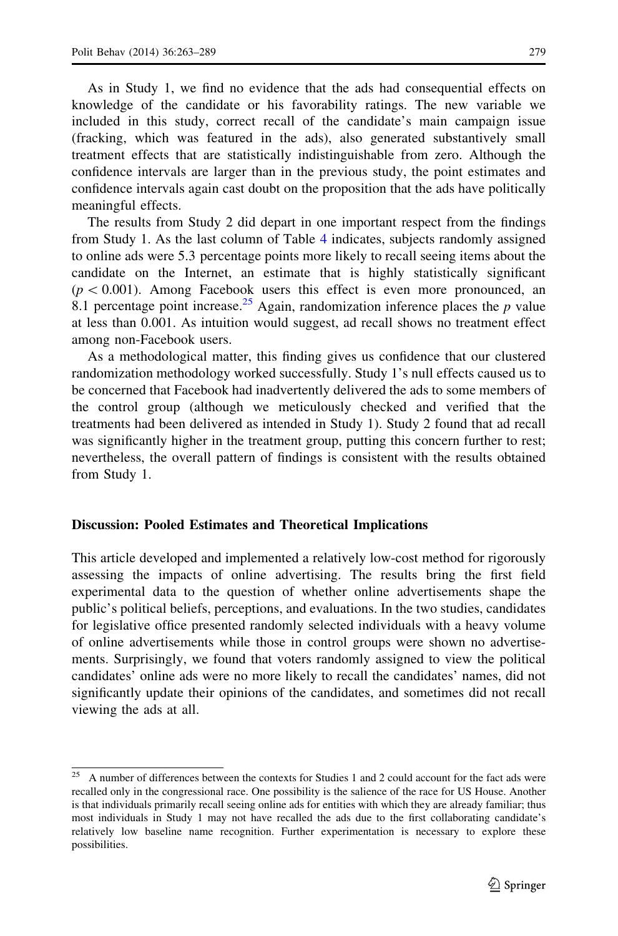<span id="page-16-0"></span>As in Study 1, we find no evidence that the ads had consequential effects on knowledge of the candidate or his favorability ratings. The new variable we included in this study, correct recall of the candidate's main campaign issue (fracking, which was featured in the ads), also generated substantively small treatment effects that are statistically indistinguishable from zero. Although the confidence intervals are larger than in the previous study, the point estimates and confidence intervals again cast doubt on the proposition that the ads have politically meaningful effects.

The results from Study 2 did depart in one important respect from the findings from Study 1. As the last column of Table [4](#page-15-0) indicates, subjects randomly assigned to online ads were 5.3 percentage points more likely to recall seeing items about the candidate on the Internet, an estimate that is highly statistically significant  $(p<0.001)$ . Among Facebook users this effect is even more pronounced, an 8.1 percentage point increase.<sup>25</sup> Again, randomization inference places the p value at less than 0.001. As intuition would suggest, ad recall shows no treatment effect among non-Facebook users.

As a methodological matter, this finding gives us confidence that our clustered randomization methodology worked successfully. Study 1's null effects caused us to be concerned that Facebook had inadvertently delivered the ads to some members of the control group (although we meticulously checked and verified that the treatments had been delivered as intended in Study 1). Study 2 found that ad recall was significantly higher in the treatment group, putting this concern further to rest; nevertheless, the overall pattern of findings is consistent with the results obtained from Study 1.

#### Discussion: Pooled Estimates and Theoretical Implications

This article developed and implemented a relatively low-cost method for rigorously assessing the impacts of online advertising. The results bring the first field experimental data to the question of whether online advertisements shape the public's political beliefs, perceptions, and evaluations. In the two studies, candidates for legislative office presented randomly selected individuals with a heavy volume of online advertisements while those in control groups were shown no advertisements. Surprisingly, we found that voters randomly assigned to view the political candidates' online ads were no more likely to recall the candidates' names, did not significantly update their opinions of the candidates, and sometimes did not recall viewing the ads at all.

<sup>&</sup>lt;sup>25</sup> A number of differences between the contexts for Studies 1 and 2 could account for the fact ads were recalled only in the congressional race. One possibility is the salience of the race for US House. Another is that individuals primarily recall seeing online ads for entities with which they are already familiar; thus most individuals in Study 1 may not have recalled the ads due to the first collaborating candidate's relatively low baseline name recognition. Further experimentation is necessary to explore these possibilities.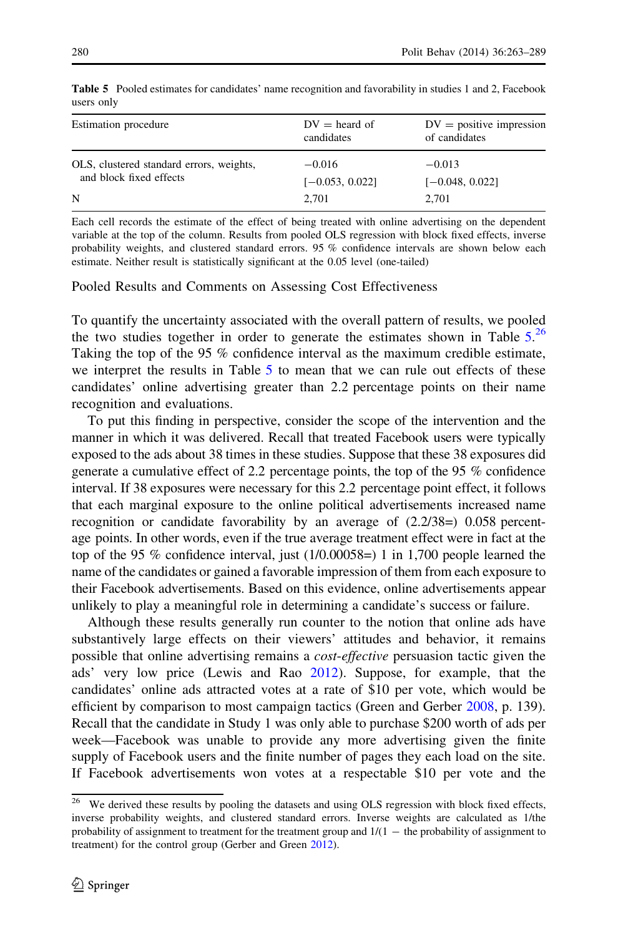| Estimation procedure                                                | $DV =$ heard of<br>candidates | $DV =$ positive impression<br>of candidates |
|---------------------------------------------------------------------|-------------------------------|---------------------------------------------|
| OLS, clustered standard errors, weights,<br>and block fixed effects | $-0.016$<br>$[-0.053, 0.022]$ | $-0.013$<br>$[-0.048, 0.022]$               |
| N                                                                   | 2.701                         | 2,701                                       |

Table 5 Pooled estimates for candidates' name recognition and favorability in studies 1 and 2, Facebook users only

Each cell records the estimate of the effect of being treated with online advertising on the dependent variable at the top of the column. Results from pooled OLS regression with block fixed effects, inverse probability weights, and clustered standard errors. 95 % confidence intervals are shown below each estimate. Neither result is statistically significant at the 0.05 level (one-tailed)

Pooled Results and Comments on Assessing Cost Effectiveness

To quantify the uncertainty associated with the overall pattern of results, we pooled the two studies together in order to generate the estimates shown in Table  $5^{26}$ Taking the top of the 95 % confidence interval as the maximum credible estimate, we interpret the results in Table 5 to mean that we can rule out effects of these candidates' online advertising greater than 2.2 percentage points on their name recognition and evaluations.

To put this finding in perspective, consider the scope of the intervention and the manner in which it was delivered. Recall that treated Facebook users were typically exposed to the ads about 38 times in these studies. Suppose that these 38 exposures did generate a cumulative effect of 2.2 percentage points, the top of the 95 % confidence interval. If 38 exposures were necessary for this 2.2 percentage point effect, it follows that each marginal exposure to the online political advertisements increased name recognition or candidate favorability by an average of (2.2/38=) 0.058 percentage points. In other words, even if the true average treatment effect were in fact at the top of the 95 % confidence interval, just (1/0.00058=) 1 in 1,700 people learned the name of the candidates or gained a favorable impression of them from each exposure to their Facebook advertisements. Based on this evidence, online advertisements appear unlikely to play a meaningful role in determining a candidate's success or failure.

Although these results generally run counter to the notion that online ads have substantively large effects on their viewers' attitudes and behavior, it remains possible that online advertising remains a cost-effective persuasion tactic given the ads' very low price (Lewis and Rao [2012\)](#page-25-0). Suppose, for example, that the candidates' online ads attracted votes at a rate of \$10 per vote, which would be efficient by comparison to most campaign tactics (Green and Gerber [2008,](#page-24-0) p. 139). Recall that the candidate in Study 1 was only able to purchase \$200 worth of ads per week—Facebook was unable to provide any more advertising given the finite supply of Facebook users and the finite number of pages they each load on the site. If Facebook advertisements won votes at a respectable \$10 per vote and the

 $26$  We derived these results by pooling the datasets and using OLS regression with block fixed effects, inverse probability weights, and clustered standard errors. Inverse weights are calculated as 1/the probability of assignment to treatment for the treatment group and  $1/(1 -$  the probability of assignment to treatment) for the control group (Gerber and Green [2012\)](#page-24-0).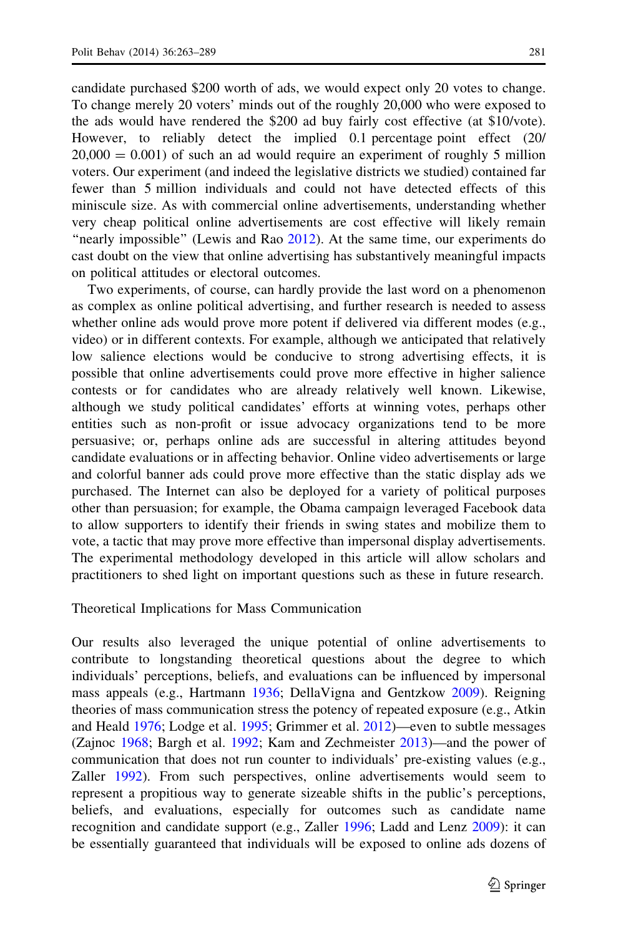candidate purchased \$200 worth of ads, we would expect only 20 votes to change. To change merely 20 voters' minds out of the roughly 20,000 who were exposed to the ads would have rendered the \$200 ad buy fairly cost effective (at \$10/vote). However, to reliably detect the implied 0.1 percentage point effect (20/  $20,000 = 0.001$ ) of such an ad would require an experiment of roughly 5 million voters. Our experiment (and indeed the legislative districts we studied) contained far fewer than 5 million individuals and could not have detected effects of this miniscule size. As with commercial online advertisements, understanding whether very cheap political online advertisements are cost effective will likely remain ''nearly impossible'' (Lewis and Rao [2012\)](#page-25-0). At the same time, our experiments do cast doubt on the view that online advertising has substantively meaningful impacts on political attitudes or electoral outcomes.

Two experiments, of course, can hardly provide the last word on a phenomenon as complex as online political advertising, and further research is needed to assess whether online ads would prove more potent if delivered via different modes (e.g., video) or in different contexts. For example, although we anticipated that relatively low salience elections would be conducive to strong advertising effects, it is possible that online advertisements could prove more effective in higher salience contests or for candidates who are already relatively well known. Likewise, although we study political candidates' efforts at winning votes, perhaps other entities such as non-profit or issue advocacy organizations tend to be more persuasive; or, perhaps online ads are successful in altering attitudes beyond candidate evaluations or in affecting behavior. Online video advertisements or large and colorful banner ads could prove more effective than the static display ads we purchased. The Internet can also be deployed for a variety of political purposes other than persuasion; for example, the Obama campaign leveraged Facebook data to allow supporters to identify their friends in swing states and mobilize them to vote, a tactic that may prove more effective than impersonal display advertisements. The experimental methodology developed in this article will allow scholars and practitioners to shed light on important questions such as these in future research.

# Theoretical Implications for Mass Communication

Our results also leveraged the unique potential of online advertisements to contribute to longstanding theoretical questions about the degree to which individuals' perceptions, beliefs, and evaluations can be influenced by impersonal mass appeals (e.g., Hartmann [1936](#page-24-0); DellaVigna and Gentzkow [2009](#page-24-0)). Reigning theories of mass communication stress the potency of repeated exposure (e.g., Atkin and Heald [1976;](#page-23-0) Lodge et al. [1995](#page-25-0); Grimmer et al. [2012](#page-24-0))—even to subtle messages (Zajnoc [1968;](#page-26-0) Bargh et al. [1992](#page-23-0); Kam and Zechmeister [2013](#page-25-0))—and the power of communication that does not run counter to individuals' pre-existing values (e.g., Zaller [1992](#page-26-0)). From such perspectives, online advertisements would seem to represent a propitious way to generate sizeable shifts in the public's perceptions, beliefs, and evaluations, especially for outcomes such as candidate name recognition and candidate support (e.g., Zaller [1996](#page-26-0); Ladd and Lenz [2009\)](#page-25-0): it can be essentially guaranteed that individuals will be exposed to online ads dozens of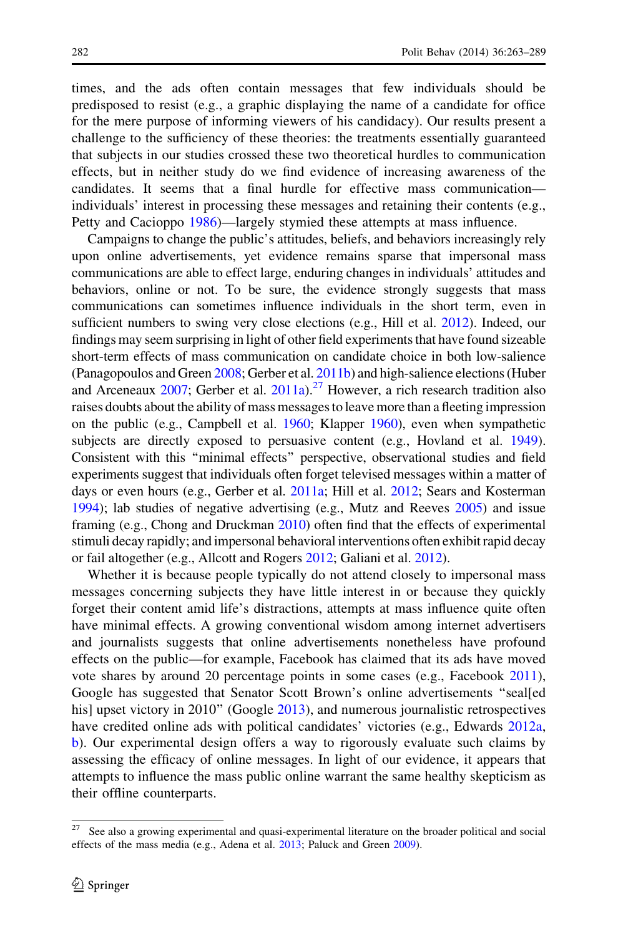times, and the ads often contain messages that few individuals should be predisposed to resist (e.g., a graphic displaying the name of a candidate for office for the mere purpose of informing viewers of his candidacy). Our results present a challenge to the sufficiency of these theories: the treatments essentially guaranteed that subjects in our studies crossed these two theoretical hurdles to communication effects, but in neither study do we find evidence of increasing awareness of the candidates. It seems that a final hurdle for effective mass communication individuals' interest in processing these messages and retaining their contents (e.g., Petty and Cacioppo [1986](#page-25-0))—largely stymied these attempts at mass influence.

Campaigns to change the public's attitudes, beliefs, and behaviors increasingly rely upon online advertisements, yet evidence remains sparse that impersonal mass communications are able to effect large, enduring changes in individuals' attitudes and behaviors, online or not. To be sure, the evidence strongly suggests that mass communications can sometimes influence individuals in the short term, even in sufficient numbers to swing very close elections (e.g., Hill et al. [2012\)](#page-24-0). Indeed, our findings may seem surprising in light of other field experiments that have found sizeable short-term effects of mass communication on candidate choice in both low-salience (Panagopoulos and Green [2008;](#page-25-0) Gerber et al. [2011b\)](#page-24-0) and high-salience elections (Huber and Arceneaux  $2007$ ; Gerber et al.  $2011a$ ).<sup>27</sup> However, a rich research tradition also raises doubts about the ability of mass messages to leave more than a fleeting impression on the public (e.g., Campbell et al. [1960;](#page-24-0) Klapper [1960\)](#page-25-0), even when sympathetic subjects are directly exposed to persuasive content (e.g., Hovland et al. [1949\)](#page-25-0). Consistent with this ''minimal effects'' perspective, observational studies and field experiments suggest that individuals often forget televised messages within a matter of days or even hours (e.g., Gerber et al. [2011a;](#page-24-0) Hill et al. [2012;](#page-24-0) Sears and Kosterman [1994\)](#page-25-0); lab studies of negative advertising (e.g., Mutz and Reeves [2005](#page-25-0)) and issue framing (e.g., Chong and Druckman [2010](#page-24-0)) often find that the effects of experimental stimuli decay rapidly; and impersonal behavioral interventions often exhibit rapid decay or fail altogether (e.g., Allcott and Rogers [2012;](#page-23-0) Galiani et al. [2012\)](#page-24-0).

Whether it is because people typically do not attend closely to impersonal mass messages concerning subjects they have little interest in or because they quickly forget their content amid life's distractions, attempts at mass influence quite often have minimal effects. A growing conventional wisdom among internet advertisers and journalists suggests that online advertisements nonetheless have profound effects on the public—for example, Facebook has claimed that its ads have moved vote shares by around 20 percentage points in some cases (e.g., Facebook [2011\)](#page-24-0), Google has suggested that Senator Scott Brown's online advertisements ''seal[ed his] upset victory in 2010" (Google [2013](#page-24-0)), and numerous journalistic retrospectives have credited online ads with political candidates' victories (e.g., Edwards [2012a,](#page-24-0) [b](#page-24-0)). Our experimental design offers a way to rigorously evaluate such claims by assessing the efficacy of online messages. In light of our evidence, it appears that attempts to influence the mass public online warrant the same healthy skepticism as their offline counterparts.

 $\frac{27}{27}$  See also a growing experimental and quasi-experimental literature on the broader political and social effects of the mass media (e.g., Adena et al. [2013](#page-23-0); Paluck and Green [2009\)](#page-25-0).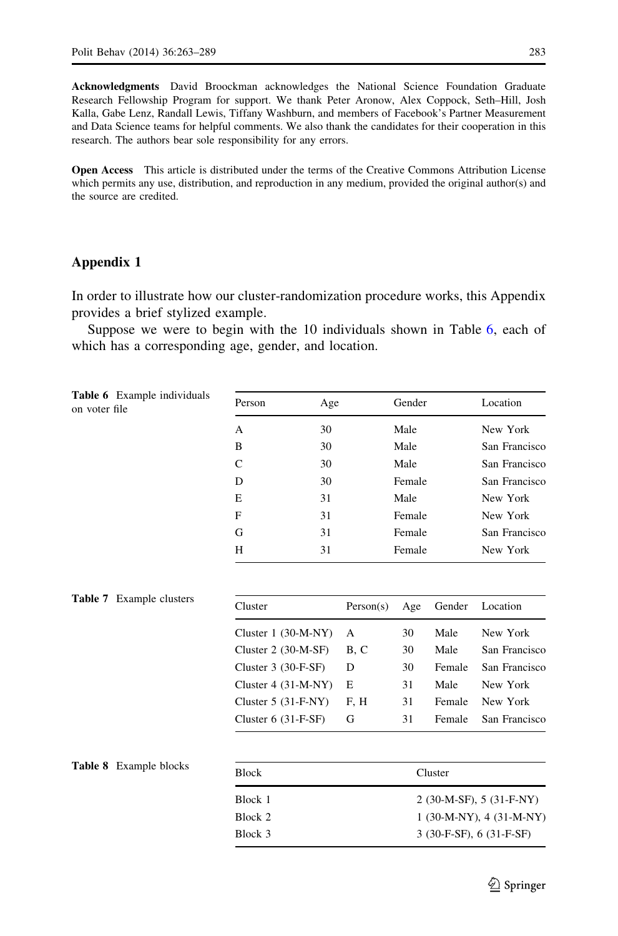<span id="page-20-0"></span>Acknowledgments David Broockman acknowledges the National Science Foundation Graduate Research Fellowship Program for support. We thank Peter Aronow, Alex Coppock, Seth–Hill, Josh Kalla, Gabe Lenz, Randall Lewis, Tiffany Washburn, and members of Facebook's Partner Measurement and Data Science teams for helpful comments. We also thank the candidates for their cooperation in this research. The authors bear sole responsibility for any errors.

Open Access This article is distributed under the terms of the Creative Commons Attribution License which permits any use, distribution, and reproduction in any medium, provided the original author(s) and the source are credited.

# Appendix 1

In order to illustrate how our cluster-randomization procedure works, this Appendix provides a brief stylized example.

Suppose we were to begin with the 10 individuals shown in Table 6, each of which has a corresponding age, gender, and location.

| <b>Table 6</b> Example individuals<br>on voter file | Person | Age | Gender | Location      |
|-----------------------------------------------------|--------|-----|--------|---------------|
|                                                     | А      | 30  | Male   | New York      |
|                                                     | B      | 30  | Male   | San Francisco |
|                                                     | C      | 30  | Male   | San Francisco |
|                                                     | D      | 30  | Female | San Francisco |
|                                                     | E      | 31  | Male   | New York      |
|                                                     | F      | 31  | Female | New York      |
|                                                     | G      | 31  | Female | San Francisco |
|                                                     | Н      | 31  | Female | New York      |

| Cluster $1(30-M-NY)$<br>A<br>Cluster $2(30-M-SF)$<br>B.C | 30 | Male   | New York      |
|----------------------------------------------------------|----|--------|---------------|
|                                                          |    |        |               |
|                                                          | 30 | Male   | San Francisco |
| Cluster $3(30-F-SF)$<br>D                                | 30 | Female | San Francisco |
| Cluster $4(31-M-NY)$<br>E                                | 31 | Male   | New York      |
| Cluster $5(31-F-NY)$<br>F. H                             | 31 | Female | New York      |
| Cluster $6(31-F-SF)$<br>G                                | 31 | Female | San Francisco |
|                                                          |    |        |               |
|                                                          |    |        |               |

# Table 8 Example blocks

| <b>Block</b> | Cluster                       |
|--------------|-------------------------------|
| Block 1      | $2(30-M-SF), 5(31-F-NY)$      |
| Block 2      | $1(30-M-NY), 4(31-M-NY)$      |
| Block 3      | 3 $(30-F-SF)$ , 6 $(31-F-SF)$ |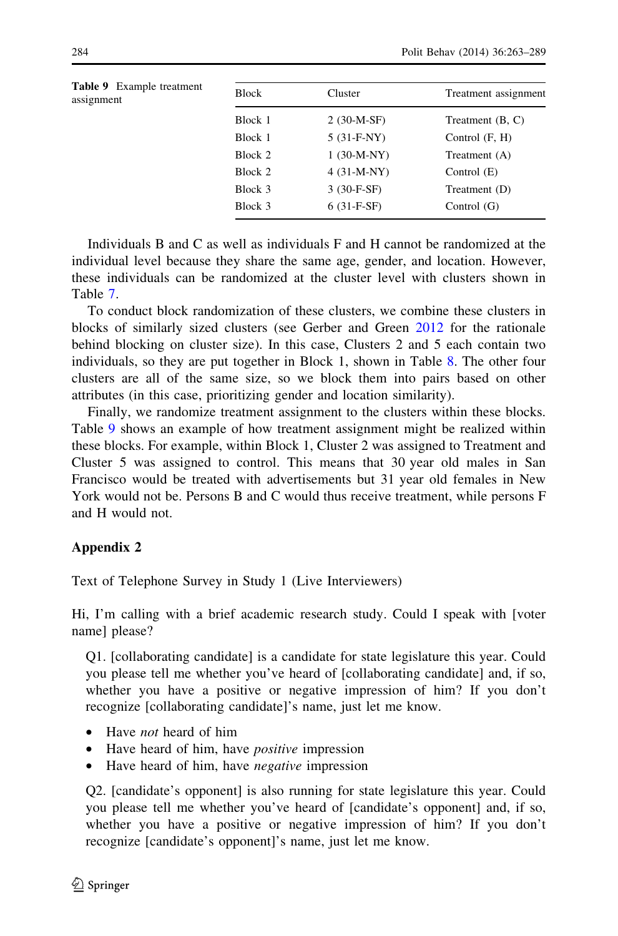<span id="page-21-0"></span>

| <b>Table 9</b> Example treatment<br>assignment | <b>Block</b> | Cluster      | Treatment assignment |
|------------------------------------------------|--------------|--------------|----------------------|
|                                                | Block 1      | $2(30-M-SF)$ | Treatment $(B, C)$   |
|                                                | Block 1      | $5(31-F-NY)$ | Control $(F, H)$     |
|                                                | Block 2      | $1(30-M-NY)$ | Treatment (A)        |
|                                                | Block 2      | $4(31-M-NY)$ | Control $(E)$        |
|                                                | Block 3      | $3(30-F-SF)$ | Treatment (D)        |
|                                                | Block 3      | $6(31-F-SF)$ | Control $(G)$        |

Individuals B and C as well as individuals F and H cannot be randomized at the individual level because they share the same age, gender, and location. However, these individuals can be randomized at the cluster level with clusters shown in Table [7](#page-20-0).

To conduct block randomization of these clusters, we combine these clusters in blocks of similarly sized clusters (see Gerber and Green [2012](#page-24-0) for the rationale behind blocking on cluster size). In this case, Clusters 2 and 5 each contain two individuals, so they are put together in Block 1, shown in Table [8.](#page-20-0) The other four clusters are all of the same size, so we block them into pairs based on other attributes (in this case, prioritizing gender and location similarity).

Finally, we randomize treatment assignment to the clusters within these blocks. Table 9 shows an example of how treatment assignment might be realized within these blocks. For example, within Block 1, Cluster 2 was assigned to Treatment and Cluster 5 was assigned to control. This means that 30 year old males in San Francisco would be treated with advertisements but 31 year old females in New York would not be. Persons B and C would thus receive treatment, while persons F and H would not.

# Appendix 2

Text of Telephone Survey in Study 1 (Live Interviewers)

Hi, I'm calling with a brief academic research study. Could I speak with [voter name] please?

Q1. [collaborating candidate] is a candidate for state legislature this year. Could you please tell me whether you've heard of [collaborating candidate] and, if so, whether you have a positive or negative impression of him? If you don't recognize [collaborating candidate]'s name, just let me know.

- Have *not* heard of him
- Have heard of him, have *positive* impression
- Have heard of him, have *negative* impression

Q2. [candidate's opponent] is also running for state legislature this year. Could you please tell me whether you've heard of [candidate's opponent] and, if so, whether you have a positive or negative impression of him? If you don't recognize [candidate's opponent]'s name, just let me know.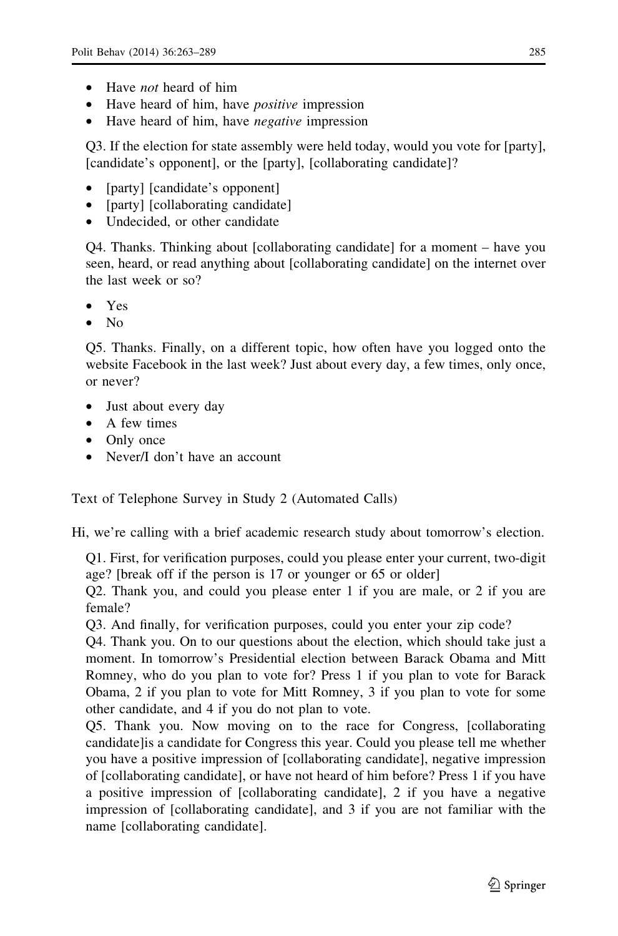- Have not heard of him
- Have heard of him, have *positive* impression
- Have heard of him, have *negative* impression

Q3. If the election for state assembly were held today, would you vote for [party], [candidate's opponent], or the [party], [collaborating candidate]?

- [party] [candidate's opponent]
- [party] [collaborating candidate]
- Undecided, or other candidate

Q4. Thanks. Thinking about [collaborating candidate] for a moment – have you seen, heard, or read anything about [collaborating candidate] on the internet over the last week or so?

- Yes
- No

Q5. Thanks. Finally, on a different topic, how often have you logged onto the website Facebook in the last week? Just about every day, a few times, only once, or never?

- Just about every day
- A few times
- Only once
- Never/I don't have an account

Text of Telephone Survey in Study 2 (Automated Calls)

Hi, we're calling with a brief academic research study about tomorrow's election.

Q1. First, for verification purposes, could you please enter your current, two-digit age? [break off if the person is 17 or younger or 65 or older]

Q2. Thank you, and could you please enter 1 if you are male, or 2 if you are female?

Q3. And finally, for verification purposes, could you enter your zip code?

Q4. Thank you. On to our questions about the election, which should take just a moment. In tomorrow's Presidential election between Barack Obama and Mitt Romney, who do you plan to vote for? Press 1 if you plan to vote for Barack Obama, 2 if you plan to vote for Mitt Romney, 3 if you plan to vote for some other candidate, and 4 if you do not plan to vote.

Q5. Thank you. Now moving on to the race for Congress, [collaborating candidate]is a candidate for Congress this year. Could you please tell me whether you have a positive impression of [collaborating candidate], negative impression of [collaborating candidate], or have not heard of him before? Press 1 if you have a positive impression of [collaborating candidate], 2 if you have a negative impression of [collaborating candidate], and 3 if you are not familiar with the name [collaborating candidate].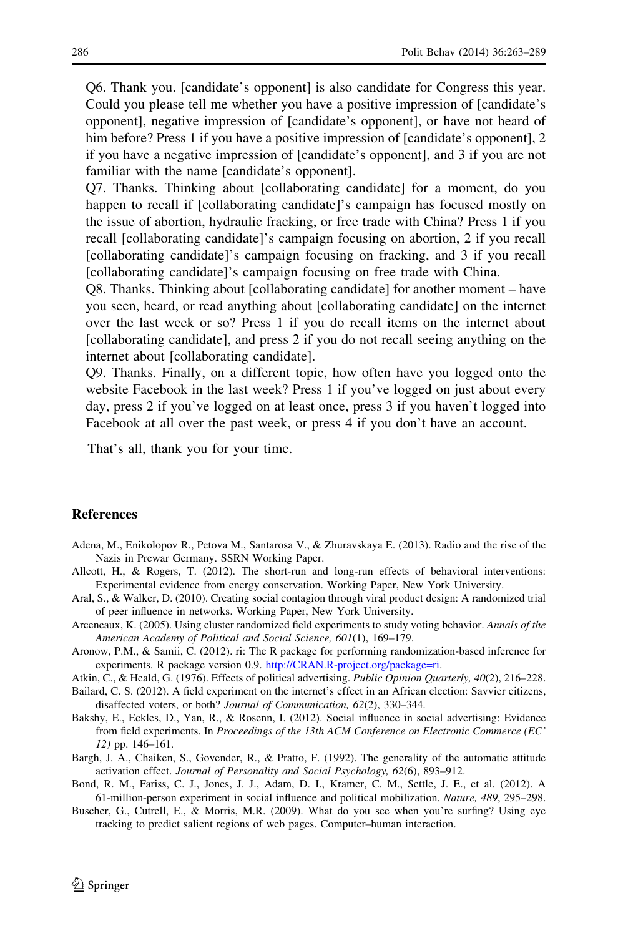<span id="page-23-0"></span>Q6. Thank you. [candidate's opponent] is also candidate for Congress this year. Could you please tell me whether you have a positive impression of [candidate's opponent], negative impression of [candidate's opponent], or have not heard of him before? Press 1 if you have a positive impression of [candidate's opponent], 2 if you have a negative impression of [candidate's opponent], and 3 if you are not familiar with the name [candidate's opponent].

Q7. Thanks. Thinking about [collaborating candidate] for a moment, do you happen to recall if [collaborating candidate]'s campaign has focused mostly on the issue of abortion, hydraulic fracking, or free trade with China? Press 1 if you recall [collaborating candidate]'s campaign focusing on abortion, 2 if you recall [collaborating candidate]'s campaign focusing on fracking, and 3 if you recall [collaborating candidate]'s campaign focusing on free trade with China.

Q8. Thanks. Thinking about [collaborating candidate] for another moment – have you seen, heard, or read anything about [collaborating candidate] on the internet over the last week or so? Press 1 if you do recall items on the internet about [collaborating candidate], and press 2 if you do not recall seeing anything on the internet about [collaborating candidate].

Q9. Thanks. Finally, on a different topic, how often have you logged onto the website Facebook in the last week? Press 1 if you've logged on just about every day, press 2 if you've logged on at least once, press 3 if you haven't logged into Facebook at all over the past week, or press 4 if you don't have an account.

That's all, thank you for your time.

# References

- Adena, M., Enikolopov R., Petova M., Santarosa V., & Zhuravskaya E. (2013). Radio and the rise of the Nazis in Prewar Germany. SSRN Working Paper.
- Allcott, H., & Rogers, T. (2012). The short-run and long-run effects of behavioral interventions: Experimental evidence from energy conservation. Working Paper, New York University.
- Aral, S., & Walker, D. (2010). Creating social contagion through viral product design: A randomized trial of peer influence in networks. Working Paper, New York University.
- Arceneaux, K. (2005). Using cluster randomized field experiments to study voting behavior. Annals of the American Academy of Political and Social Science, 601(1), 169–179.
- Aronow, P.M., & Samii, C. (2012). ri: The R package for performing randomization-based inference for experiments. R package version 0.9. [http://CRAN.R-project.org/package=ri.](http://CRAN.R-project.org/package=ri)
- Atkin, C., & Heald, G. (1976). Effects of political advertising. Public Opinion Quarterly, 40(2), 216–228.
- Bailard, C. S. (2012). A field experiment on the internet's effect in an African election: Savvier citizens, disaffected voters, or both? Journal of Communication, 62(2), 330–344.
- Bakshy, E., Eckles, D., Yan, R., & Rosenn, I. (2012). Social influence in social advertising: Evidence from field experiments. In Proceedings of the 13th ACM Conference on Electronic Commerce (EC' 12) pp. 146–161.
- Bargh, J. A., Chaiken, S., Govender, R., & Pratto, F. (1992). The generality of the automatic attitude activation effect. Journal of Personality and Social Psychology, 62(6), 893–912.
- Bond, R. M., Fariss, C. J., Jones, J. J., Adam, D. I., Kramer, C. M., Settle, J. E., et al. (2012). A 61-million-person experiment in social influence and political mobilization. Nature, 489, 295–298.
- Buscher, G., Cutrell, E., & Morris, M.R. (2009). What do you see when you're surfing? Using eye tracking to predict salient regions of web pages. Computer–human interaction.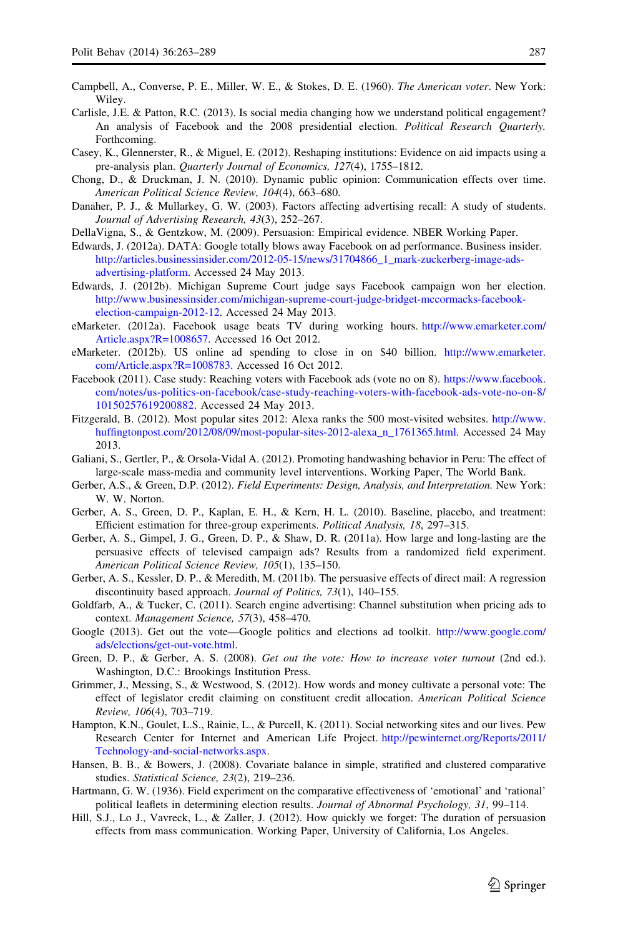- <span id="page-24-0"></span>Campbell, A., Converse, P. E., Miller, W. E., & Stokes, D. E. (1960). The American voter. New York: Wiley.
- Carlisle, J.E. & Patton, R.C. (2013). Is social media changing how we understand political engagement? An analysis of Facebook and the 2008 presidential election. Political Research Quarterly. Forthcoming.
- Casey, K., Glennerster, R., & Miguel, E. (2012). Reshaping institutions: Evidence on aid impacts using a pre-analysis plan. Quarterly Journal of Economics, 127(4), 1755–1812.
- Chong, D., & Druckman, J. N. (2010). Dynamic public opinion: Communication effects over time. American Political Science Review, 104(4), 663–680.
- Danaher, P. J., & Mullarkey, G. W. (2003). Factors affecting advertising recall: A study of students. Journal of Advertising Research, 43(3), 252–267.
- DellaVigna, S., & Gentzkow, M. (2009). Persuasion: Empirical evidence. NBER Working Paper.
- Edwards, J. (2012a). DATA: Google totally blows away Facebook on ad performance. Business insider. [http://articles.businessinsider.com/2012-05-15/news/31704866\\_1\\_mark-zuckerberg-image-ads](http://articles.businessinsider.com/2012-05-15/news/31704866_1_mark-zuckerberg-image-ads-advertising-platform)[advertising-platform.](http://articles.businessinsider.com/2012-05-15/news/31704866_1_mark-zuckerberg-image-ads-advertising-platform) Accessed 24 May 2013.
- Edwards, J. (2012b). Michigan Supreme Court judge says Facebook campaign won her election. [http://www.businessinsider.com/michigan-supreme-court-judge-bridget-mccormacks-facebook](http://www.businessinsider.com/michigan-supreme-court-judge-bridget-mccormacks-facebook-election-campaign-2012-12)[election-campaign-2012-12](http://www.businessinsider.com/michigan-supreme-court-judge-bridget-mccormacks-facebook-election-campaign-2012-12). Accessed 24 May 2013.
- eMarketer. (2012a). Facebook usage beats TV during working hours. [http://www.emarketer.com/](http://www.emarketer.com/Article.aspx?R=1008657) [Article.aspx?R=1008657.](http://www.emarketer.com/Article.aspx?R=1008657) Accessed 16 Oct 2012.
- eMarketer. (2012b). US online ad spending to close in on \$40 billion. [http://www.emarketer.](http://www.emarketer.com/Article.aspx?R=1008783) [com/Article.aspx?R=1008783.](http://www.emarketer.com/Article.aspx?R=1008783) Accessed 16 Oct 2012.
- Facebook (2011). Case study: Reaching voters with Facebook ads (vote no on 8). [https://www.facebook.](https://www.facebook.com/notes/us-politics-on-facebook/case-study-reaching-voters-with-facebook-ads-vote-no-on-8/10150257619200882) [com/notes/us-politics-on-facebook/case-study-reaching-voters-with-facebook-ads-vote-no-on-8/](https://www.facebook.com/notes/us-politics-on-facebook/case-study-reaching-voters-with-facebook-ads-vote-no-on-8/10150257619200882) [10150257619200882](https://www.facebook.com/notes/us-politics-on-facebook/case-study-reaching-voters-with-facebook-ads-vote-no-on-8/10150257619200882). Accessed 24 May 2013.
- Fitzgerald, B. (2012). Most popular sites 2012: Alexa ranks the 500 most-visited websites. [http://www.](http://www.huffingtonpost.com/2012/08/09/most-popular-sites-2012-alexa_n_1761365.html) [huffingtonpost.com/2012/08/09/most-popular-sites-2012-alexa\\_n\\_1761365.html.](http://www.huffingtonpost.com/2012/08/09/most-popular-sites-2012-alexa_n_1761365.html) Accessed 24 May 2013.
- Galiani, S., Gertler, P., & Orsola-Vidal A. (2012). Promoting handwashing behavior in Peru: The effect of large-scale mass-media and community level interventions. Working Paper, The World Bank.
- Gerber, A.S., & Green, D.P. (2012). Field Experiments: Design, Analysis, and Interpretation. New York: W. W. Norton.
- Gerber, A. S., Green, D. P., Kaplan, E. H., & Kern, H. L. (2010). Baseline, placebo, and treatment: Efficient estimation for three-group experiments. Political Analysis, 18, 297–315.
- Gerber, A. S., Gimpel, J. G., Green, D. P., & Shaw, D. R. (2011a). How large and long-lasting are the persuasive effects of televised campaign ads? Results from a randomized field experiment. American Political Science Review, 105(1), 135–150.
- Gerber, A. S., Kessler, D. P., & Meredith, M. (2011b). The persuasive effects of direct mail: A regression discontinuity based approach. Journal of Politics, 73(1), 140–155.
- Goldfarb, A., & Tucker, C. (2011). Search engine advertising: Channel substitution when pricing ads to context. Management Science, 57(3), 458–470.
- Google (2013). Get out the vote—Google politics and elections ad toolkit. [http://www.google.com/](http://www.google.com/ads/elections/get-out-vote.html) [ads/elections/get-out-vote.html](http://www.google.com/ads/elections/get-out-vote.html).
- Green, D. P., & Gerber, A. S. (2008). Get out the vote: How to increase voter turnout (2nd ed.). Washington, D.C.: Brookings Institution Press.
- Grimmer, J., Messing, S., & Westwood, S. (2012). How words and money cultivate a personal vote: The effect of legislator credit claiming on constituent credit allocation. American Political Science Review, 106(4), 703–719.
- Hampton, K.N., Goulet, L.S., Rainie, L., & Purcell, K. (2011). Social networking sites and our lives. Pew Research Center for Internet and American Life Project. [http://pewinternet.org/Reports/2011/](http://pewinternet.org/Reports/2011/Technology-and-social-networks.aspx) [Technology-and-social-networks.aspx.](http://pewinternet.org/Reports/2011/Technology-and-social-networks.aspx)
- Hansen, B. B., & Bowers, J. (2008). Covariate balance in simple, stratified and clustered comparative studies. Statistical Science, 23(2), 219–236.
- Hartmann, G. W. (1936). Field experiment on the comparative effectiveness of 'emotional' and 'rational' political leaflets in determining election results. Journal of Abnormal Psychology, 31, 99–114.
- Hill, S.J., Lo J., Vavreck, L., & Zaller, J. (2012). How quickly we forget: The duration of persuasion effects from mass communication. Working Paper, University of California, Los Angeles.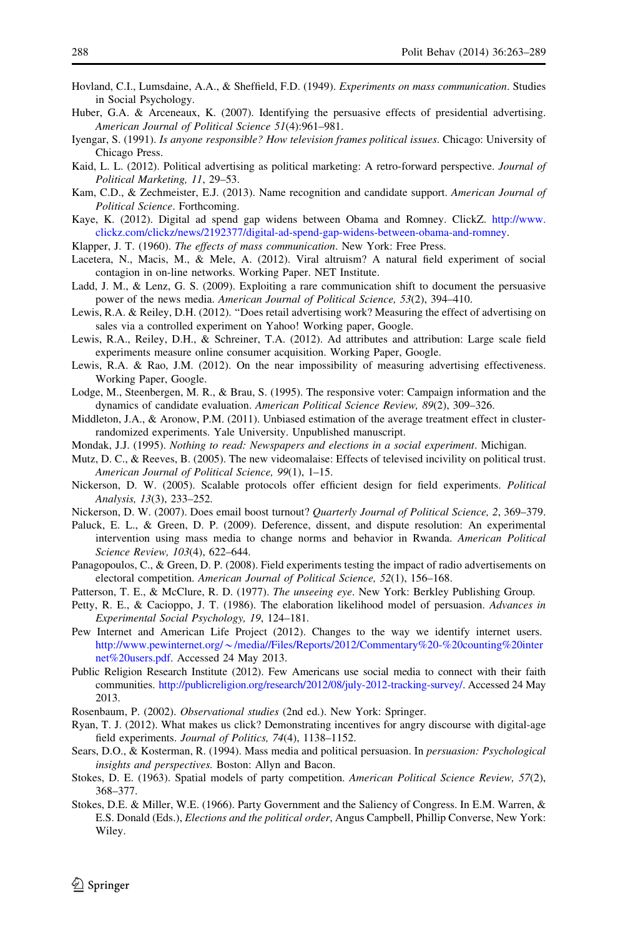- <span id="page-25-0"></span>Hovland, C.I., Lumsdaine, A.A., & Sheffield, F.D. (1949). Experiments on mass communication. Studies in Social Psychology.
- Huber, G.A. & Arceneaux, K. (2007). Identifying the persuasive effects of presidential advertising. American Journal of Political Science 51(4):961–981.
- Iyengar, S. (1991). Is anyone responsible? How television frames political issues. Chicago: University of Chicago Press.
- Kaid, L. L. (2012). Political advertising as political marketing: A retro-forward perspective. Journal of Political Marketing, 11, 29–53.
- Kam, C.D., & Zechmeister, E.J. (2013). Name recognition and candidate support. American Journal of Political Science. Forthcoming.
- Kaye, K. (2012). Digital ad spend gap widens between Obama and Romney. ClickZ. [http://www.](http://www.clickz.com/clickz/news/2192377/digital-ad-spend-gap-widens-between-obama-and-romney) [clickz.com/clickz/news/2192377/digital-ad-spend-gap-widens-between-obama-and-romney.](http://www.clickz.com/clickz/news/2192377/digital-ad-spend-gap-widens-between-obama-and-romney)
- Klapper, J. T. (1960). The effects of mass communication. New York: Free Press.
- Lacetera, N., Macis, M., & Mele, A. (2012). Viral altruism? A natural field experiment of social contagion in on-line networks. Working Paper. NET Institute.
- Ladd, J. M., & Lenz, G. S. (2009). Exploiting a rare communication shift to document the persuasive power of the news media. American Journal of Political Science, 53(2), 394–410.
- Lewis, R.A. & Reiley, D.H. (2012). ''Does retail advertising work? Measuring the effect of advertising on sales via a controlled experiment on Yahoo! Working paper, Google.
- Lewis, R.A., Reiley, D.H., & Schreiner, T.A. (2012). Ad attributes and attribution: Large scale field experiments measure online consumer acquisition. Working Paper, Google.
- Lewis, R.A. & Rao, J.M. (2012). On the near impossibility of measuring advertising effectiveness. Working Paper, Google.
- Lodge, M., Steenbergen, M. R., & Brau, S. (1995). The responsive voter: Campaign information and the dynamics of candidate evaluation. American Political Science Review, 89(2), 309–326.
- Middleton, J.A., & Aronow, P.M. (2011). Unbiased estimation of the average treatment effect in clusterrandomized experiments. Yale University. Unpublished manuscript.
- Mondak, J.J. (1995). Nothing to read: Newspapers and elections in a social experiment. Michigan.
- Mutz, D. C., & Reeves, B. (2005). The new videomalaise: Effects of televised incivility on political trust. American Journal of Political Science, 99(1), 1–15.
- Nickerson, D. W. (2005). Scalable protocols offer efficient design for field experiments. Political Analysis, 13(3), 233–252.
- Nickerson, D. W. (2007). Does email boost turnout? Quarterly Journal of Political Science, 2, 369-379.
- Paluck, E. L., & Green, D. P. (2009). Deference, dissent, and dispute resolution: An experimental intervention using mass media to change norms and behavior in Rwanda. American Political Science Review, 103(4), 622–644.
- Panagopoulos, C., & Green, D. P. (2008). Field experiments testing the impact of radio advertisements on electoral competition. American Journal of Political Science, 52(1), 156–168.
- Patterson, T. E., & McClure, R. D. (1977). The unseeing eye. New York: Berkley Publishing Group.
- Petty, R. E., & Cacioppo, J. T. (1986). The elaboration likelihood model of persuasion. Advances in Experimental Social Psychology, 19, 124–181.
- Pew Internet and American Life Project (2012). Changes to the way we identify internet users. http://www.pewinternet.org/~[/media//Files/Reports/2012/Commentary%20-%20counting%20inter](http://www.pewinternet.org/~/media//Files/Reports/2012/Commentary%20-%20counting%20internet%20users.pdf) [net%20users.pdf](http://www.pewinternet.org/~/media//Files/Reports/2012/Commentary%20-%20counting%20internet%20users.pdf). Accessed 24 May 2013.
- Public Religion Research Institute (2012). Few Americans use social media to connect with their faith communities. <http://publicreligion.org/research/2012/08/july-2012-tracking-survey/>. Accessed 24 May 2013.
- Rosenbaum, P. (2002). Observational studies (2nd ed.). New York: Springer.
- Ryan, T. J. (2012). What makes us click? Demonstrating incentives for angry discourse with digital-age field experiments. Journal of Politics, 74(4), 1138–1152.
- Sears, D.O., & Kosterman, R. (1994). Mass media and political persuasion. In persuasion: Psychological insights and perspectives. Boston: Allyn and Bacon.
- Stokes, D. E. (1963). Spatial models of party competition. American Political Science Review, 57(2), 368–377.
- Stokes, D.E. & Miller, W.E. (1966). Party Government and the Saliency of Congress. In E.M. Warren, & E.S. Donald (Eds.), Elections and the political order, Angus Campbell, Phillip Converse, New York: Wiley.